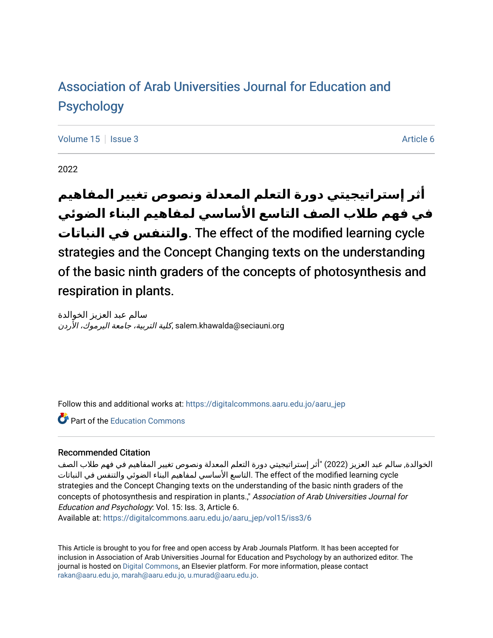# [Association of Arab Universities Journal for Education and](https://digitalcommons.aaru.edu.jo/aaru_jep) [Psychology](https://digitalcommons.aaru.edu.jo/aaru_jep)

[Volume 15](https://digitalcommons.aaru.edu.jo/aaru_jep/vol15) Setsue 3 Article 6

2022

# **أثر إستراتيجيتي دورة التعلم المعدلة ونصوص تغيير المفاهيم في فهم طالب الصف التاسع األساسي لمفاهيم البناء الضوئي النباتات في والتنفس**. The effect of the modified learning cycle strategies and the Concept Changing texts on the understanding of the basic ninth graders of the concepts of photosynthesis and respiration in plants.

سالم عبد العزيز الخوالدة salem.khawalda@seciauni.org.كلية التربية، جامعة اليرموك، الأردن

Follow this and additional works at: [https://digitalcommons.aaru.edu.jo/aaru\\_jep](https://digitalcommons.aaru.edu.jo/aaru_jep?utm_source=digitalcommons.aaru.edu.jo%2Faaru_jep%2Fvol15%2Fiss3%2F6&utm_medium=PDF&utm_campaign=PDFCoverPages)

**C** Part of the [Education Commons](http://network.bepress.com/hgg/discipline/784?utm_source=digitalcommons.aaru.edu.jo%2Faaru_jep%2Fvol15%2Fiss3%2F6&utm_medium=PDF&utm_campaign=PDFCoverPages)

#### Recommended Citation

الخوالدة, سالم عبد العزيز (2022) "أثر إستراتيجيتي دورة التعلم المعدلة ونصوص تغيير المفاهيم في فهم طالب الصف cycle learning modified the of effect The .التاسع األساسي لمفاهيم البناء الضوئي والتنفس في النباتات strategies and the Concept Changing texts on the understanding of the basic ninth graders of the concepts of photosynthesis and respiration in plants.," Association of Arab Universities Journal for Education and Psychology: Vol. 15: Iss. 3, Article 6.

Available at: [https://digitalcommons.aaru.edu.jo/aaru\\_jep/vol15/iss3/6](https://digitalcommons.aaru.edu.jo/aaru_jep/vol15/iss3/6?utm_source=digitalcommons.aaru.edu.jo%2Faaru_jep%2Fvol15%2Fiss3%2F6&utm_medium=PDF&utm_campaign=PDFCoverPages) 

This Article is brought to you for free and open access by Arab Journals Platform. It has been accepted for inclusion in Association of Arab Universities Journal for Education and Psychology by an authorized editor. The journal is hosted on [Digital Commons,](https://www.elsevier.com/solutions/digital-commons) an Elsevier platform. For more information, please contact [rakan@aaru.edu.jo, marah@aaru.edu.jo, u.murad@aaru.edu.jo.](mailto:rakan@aaru.edu.jo,%20marah@aaru.edu.jo,%20u.murad@aaru.edu.jo)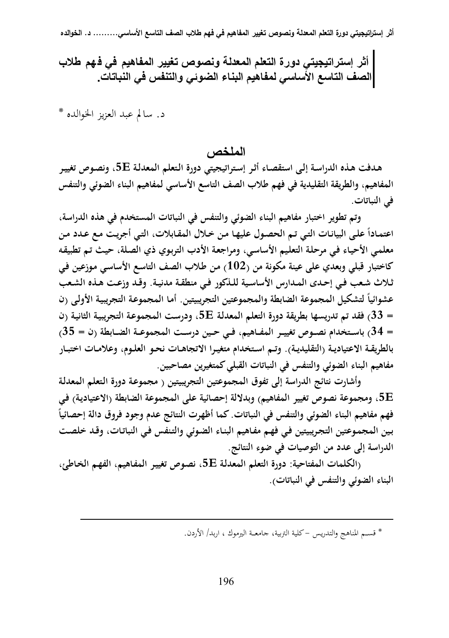| أثر إستراتيجيتي دور ة التعلم المعدلــة ونصوص تغيير المفاهيم في فـهم طلاب الصف التاسع الأساسي لمفاهيم البناء الضوئ*ي* والتنفس ف*ي* النباتات.

د. سالم عبد العزيز الخوالده \*

ا**لملخص** ،

**هـدفت هـذه الدراسـة إلـى استقصـاء أثـر إسـتراتيجيتي دورة الـتعلم المعدلـة E،5 ونصـوص تغييـر المفاهيم، والطريقة التقليدية في فهم طلاب الصف التاسع الأساسي لمفاهيم البناء الضوئي والتنفس في النباتات.** 

 **وتم تطوير اختبار مفاهيم البناء الضوئي والتنفس في النباتات المستخدم في هذه الدراسة، ً علـى الب اعتمـادا يانـات التـي تـم الحصـول عليهـا مـن خـلال المقـابلات، التـي أجريـت مـع عـدد مـن معلمـي الأحيـاء فـي مرحلـة التعلـيم الأساسـي، ومراجعـة الأدب التربـوي ذي الصـلة، حيـث تـم تطبيقـه كاختبار قبلي وبعدي على عينة مكونة من (102) مـن طـلاب الصـف التاسـع الأساسـي مـوزعين فـي ثـلاث شـعب فـي إحـدى المـدارس الأساسـية للـذكور فـي منطقـة مدنيـة. وقـد وزعـت هـذه الشـعب ً لتشكيل المجموعة الضابطة والمجموعتين التجريبيتين. أمـا المجموعـة التجريبيـة الأولـى (ن عشوائيا = 33) فقد تم تدريسها بطريقة دورة التعلم المعدلـة E،5 ودرسـت المجموعـة التجريبيـة الثانيـة (ن = 34) باســتخدام نصــوص تغييــر المفــاهيم، فــي حــين درســت المجموعــة الضــابطة (ن = 35) بالطريقــة الاعتياديــة (التقليديــة). وتــم اســتخدام متغيــرا الاتجاهــات نحــو العلــوم، وعلامــات اختبــار مفاهيم البناء الضوئي والتنفس في النباتات القبلي كمتغيرين مصاحبين.** 

 **وأشارت نتائج الدراسة إلى تفوق المجموعتين التجريبيتين ( مجموعـة دورة الـتعلم المعدلـة E،5 ومجموعة نصوص تغيير المفاهيم) وبدلالة إحصائية على المجموعة الضابطة (الاعتياديـة) فـي ً فهم مفاهيم البناء الضوئي والتنفس في النباتات. كما أظهرت النتائج عدم وجود فروق دالة إحصائيا بـين المجمـوعتين التجـريبيتين فـي فهـم مفـاهيم البنـاء الضـوئي والتـنفس فـي النباتـات، وقـد خلصـت الدراسة إلى عدد من التوصيات في ضوء النتائج.** 

 **(الكلمات المفتاحية: دورة التعلم المعدلـة E،5 نصـوص تغييـر المفـاهيم، الفهـم الخـاطئ، البناء الضوئي والتنفس في النباتات).** 

\* قســم المناهج والتدريـس - كلية التربية، جامعـــة اليرموك ، اربد/ الأردن .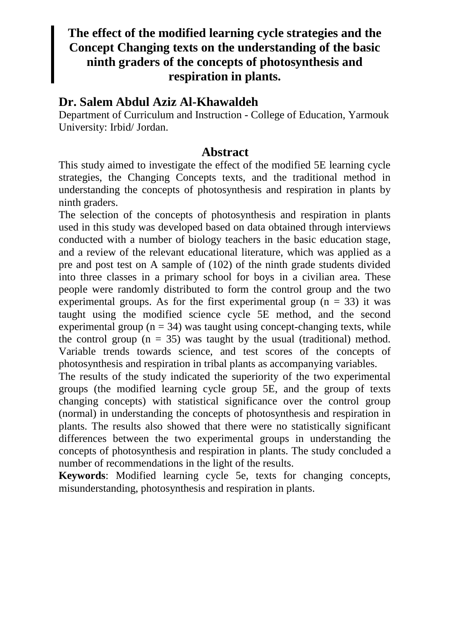# **The effect of the modified learning cycle strategies and the Concept Changing texts on the understanding of the basic ninth graders of the concepts of photosynthesis and respiration in plants.**

## **Dr. Salem Abdul Aziz Al-Khawaldeh**

Department of Curriculum and Instruction - College of Education, Yarmouk University: Irbid/ Jordan.

### **Abstract**

This study aimed to investigate the effect of the modified 5E learning cycle strategies, the Changing Concepts texts, and the traditional method in understanding the concepts of photosynthesis and respiration in plants by ninth graders.

The selection of the concepts of photosynthesis and respiration in plants used in this study was developed based on data obtained through interviews conducted with a number of biology teachers in the basic education stage, and a review of the relevant educational literature, which was applied as a pre and post test on A sample of (102) of the ninth grade students divided into three classes in a primary school for boys in a civilian area. These people were randomly distributed to form the control group and the two experimental groups. As for the first experimental group  $(n = 33)$  it was taught using the modified science cycle 5E method, and the second experimental group ( $n = 34$ ) was taught using concept-changing texts, while the control group  $(n = 35)$  was taught by the usual (traditional) method. Variable trends towards science, and test scores of the concepts of photosynthesis and respiration in tribal plants as accompanying variables.

The results of the study indicated the superiority of the two experimental groups (the modified learning cycle group 5E, and the group of texts changing concepts) with statistical significance over the control group (normal) in understanding the concepts of photosynthesis and respiration in plants. The results also showed that there were no statistically significant differences between the two experimental groups in understanding the concepts of photosynthesis and respiration in plants. The study concluded a number of recommendations in the light of the results.

**Keywords**: Modified learning cycle 5e, texts for changing concepts, misunderstanding, photosynthesis and respiration in plants.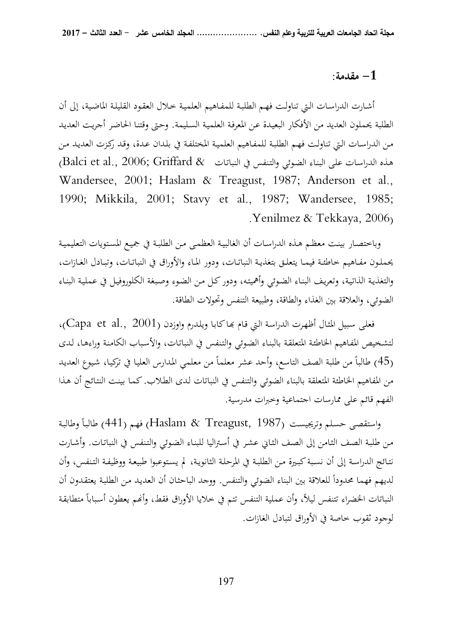#### **1 - مقدمة:**

 أشـارت الدراسـات الـتي تناولـت فهـم الطلبـة للمفـاهيم العلميـة خـلال العقـود القليلـة الماضـية، إلى أن الطلبة يحملون العديد من الأفكار البعيـدة عـن المعرفـة العلميـة السـليمة. وحـتى وقتنـا الحاضـر أجريـت العديـد مـن الدراسـات الـتي تناولـت فهـم الطلبـة للمفـاهيم العلميـة المختلفـة في بلـدان عـدة، وقـد ركـزت العديـد مـن هـذه الدراسـات على البنـاء الضـوئي والتنفس في النباتـات & Balci et al., 2006; Griffard) Wandersee, 2001; Haslam & Treagust, 1987; Anderson et al., 1990; Mikkila, 2001; Stavy et al., 1987; Wandersee, 1985; . Yenilmez & Tekkaya, 2006)

 وباختصـار بينـت معظـم هـذه الدراسـات أن الغالبيـة العظمـى مـن الطلبـة في جميـع المسـتويات التعليميـة يحملـون مفـاهيم خاطئــة فيمـا يتعلــق بتغذيـة النباتــات، ودور المـاء والأوراق في النباتــات، وتبـادل الغــازات، والتغذيـة الذاتيـة، وتعريـف البنـاء الضـوئي وأهميتـه، ودور كـل مـن الضـوء وصـبغة الكلوروفيـل في عمليـة البنـاء الضوئي، والعلاقة بين الغذاء والطاقة، وطبيعة التنفس وتحولات الطاقة.

فعلى سبيل المثال أظهرت الدراسة التي قام بحاكابا ويلدرم واوزدن (Capa et al., 2001)، لتشـخيص المفـاهيم الخاطئـة المتعلقـة بالبنـاء الضـوئي والتـنفس في النباتـات، والأسـباب الكامنـة وراءهـا، لـدى (45) طالباً من طلبة الصف التاسع، وأحد عشر معلماً من معلمي المدارس العليا في تركيا، شيوع العديد من المفاهيم الخاطئة المتعلقة بالبناء الضوئي والتنفس في النباتات لـدى الطـلاب. كمـا بينـت النتـائج أن هـذا الفهم قائم على ممارسات اجتماعية وخبرات مدرسية.

واستقصى حسلم وتريجيست (Haslam & Treagust, 1987) فهم (441) طالباً وطالبة مـن طلبـة الصـف الثـامن إلى الصـف الثـاني عشـر في أسـتراليا للبنـاء الضـوئي والتـنفس في النباتـات. وأشـارت نتـائج الدراسـة إلى أن نسـبة كبـيرة مـن الطلبـة في المرحلـة الثانويـة، لم يسـتوعبوا طبيعـة ووظيفـة التـنفس، وأن لديهم فهما محدوداً للعلاقة بين البناء الضوئي والتنفس. ووجد الباحثان أن العديد من الطلبة يعتقدون أن النباتات الخضراء تتنفس ليلاً، وأن عملية التنفس تتم في خلايا الأوراق فقط، وأنمم يعطون أسباباً متطابقة لوجود ثقوب خاصة في الأوراق لتبادل الغازات.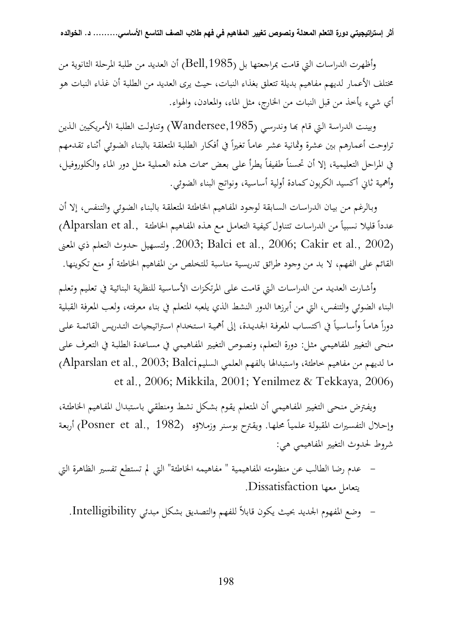وأظهرت الدراسات التي قامت بمراجعتها بل (Bell,1985) أن العديد من طلبة المرحلة الثانوية من مختلف الأعمار لديهم مفاهيم بديلة تتعلق بغذاء النبات، حيث يرى العديد من الطلبة أن غذاء النبات هو أي شيء يأخذ من قبل النبات من الخارج، مثل الماء، والمعادن، والهواء.

وبينت الدراسة التي قـام بحـا وندرسـي (Wandersee,1985) وتناولت الطلبـة الأمريكيين الـذين تراوحت أعمارهم بين عشرة وثمانية عشر عاماً تغيراً في أفكار الطلبة المتعلقة بالبناء الضوئي أثناء تقدمهم في المراحل التعليمية، إلا أن تحسناً طفيفاً يطرأ على بعض سمات هذه العملية مثل دور الماء والكلوروفيل، وأهمية ثاني أكسيد الكربون كمادة أولية أساسية، ونواتج البناء الضوئي.

وبـالرغم مـن بيـان الدراسـات السـابقة لوجـود المفـاهيم الخاطئـة المتعلقـة بالبنـاء الضـوئي والتـنفس، إلا أن عدداً قليلا نسبياً من الدراسات تتناول كيفية التعامل مع هـذه المفاهيم الخاطئة ,Alparslan et al, المعـنى ذي الـتعلم حـدوث ولتسـهيل .2003 ;Balci et al., 2006; Cakir et al., 2002) القائم على الفهم، لا بد من وجود طرائق تدريسية مناسبة للتخلص من المفاهيم الخاطئة أو منع تكوينها.

وأشـارت العديـد مـن الدراسـات الـتي قامـت علـى المرتكـزات الأساسـية للنظريـة البنائيـة في تعلـيم وتعلـم البناء الضوئي والتنفس، التي من أبرزها الدور النشط الذي يلعبه المتعلم في بناء معرفته، ولعب المعرفة القبلية دوراً هامـاً وأساسياً في اكتسـاب المعرفـة الجديـدة، إلى أهميـة اسـتخدام اسـتراتيجيات التـدريس القائمـة علـى منحى التغيير المفاهيمي مثـل: دورة الـتعلم، ونصـوص التغيـير المفـاهيمي في مسـاعدة الطلبـة في التعـرف علـى ما لديهم من مفاهيم خاطئة، واستبدالها بالفهم العلمي السليمAlparslan et al., 2003; Balci; et al., 2006; Mikkila, 2001; Yenilmez & Tekkaya, 2006)

ويفـترض منحـى التغيـير المفـاهيمي أن المـتعلم يقـوم بشـكل نشـط ومنطقـي باسـتبدال المفـاهيم الخاطئـة، وإحلال التفسيرات المقبولة علمياً محلها. ويقترح بوسنر وزملاؤه (Posner et al., 1982) أربعة شروط لحدوث التغيير المفاهيمي هي:

- عدم رضا الطالب عن منظومته المفاهيمية " مفاهيمه الخاطئة" التي لم تستطع تفسير الظاهرة التي يتعامل معها Dissatisfaction .

- وضع المفهوم الجديد بحيث يكون قابلاً للفهم والتصديق بشكل مبدئي Intelligibility .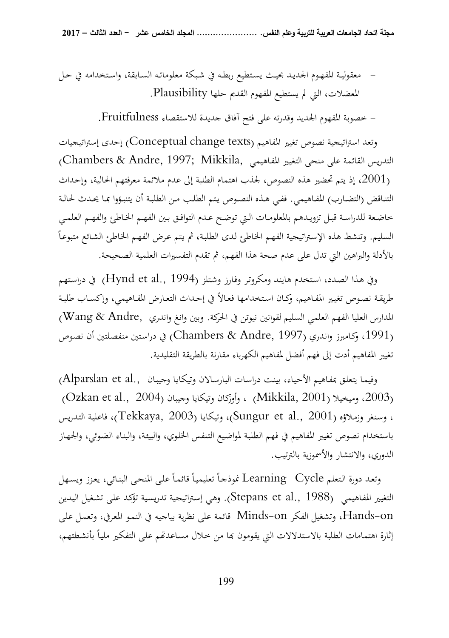- معقوليـة المفهـوم الجديـد بحيـث يسـتطيع ربطـه في شـبكة معلوماتـه السـابقة، واسـتخدامه في حـل المعضلات، التي لم يستطيع المفهوم القديم حلها Plausibility .

- خصوبة المفهوم الجديد وقدرته على فتح آفاق جديدة للاستقصاء Fruitfulness .

وتعد استراتيجية نصوص تغيير المفاهيم (texts change Conceptual (إحدى إستراتيجيات التدريس القائمة على منحى التغيير المفاهيمي ,Chambers & Andre, 1997; Mikkila ، إذ يتم تحضير هذه النصوص، لجذب اهتمام الطلبة إلى عدم ملائمة معرفتهم الحالية، وإحداث  $2001\,$ التنـاقض (التضـارب) المفـاهيمي. ففـي هـذه النصـوص يـتم الطلـب مـن الطلبـة أن يتنبـؤوا بمـا يحـدث لحالـة خاضعة للدراسـة قبـل تزويـدهم بالمعلومـات الـتي توضـح عـدم التوافـق بـين الفهـم الخـاطئ والفهـم العلمـي  $\overline{a}$ السليم. وتنشط هذه الإسـتراتيجية الفهـم الخـاطئ لـدى الطلبـة، ثم يـتم عـرض الفهـم الخـاطئ الشـائع متبوعـا بالأدلة والبراهين التي تدل على عدم صحة هذا الفهم، ثم تقدم التفسيرات العلمية الصحيحة.

وفي هـذا الصـدد، استخدم هايند ومكروتر وفـارز وشتلز (Hynd et al., 1994) في دراستهم طريقـة نصــوص تغيـير المفـاهيم، وكـان اسـتخدامها فعـالاً في إحـداث التعـارض المفـاهيمي، وإكسـاب طلبـة المدارس العليا الفهم العلمي السليم لقوانين نيوتن في الحركة. وبين وانغ واندري ,Andre & Wang( (،1991 وكـامبرز وانـدري (1997 ,Andre & Chambers (في دراسـتين منفصـلتين أن نصـوص تغيير المفاهيم أدت إلى فهم أفضل لمفاهيم الكهرباء مقارنة بالطريقة التقليدية.

وفيمـا يتعلق بمفـاهيم الأحيـاء، بينت دراسـات البارسـالان وتيكـايـا وجيبـان ,Alparslan et al (2003، وميخيلا (Mikkila, 2001) ، وأوزكان وتيكايا وجيبان (2004 ., Qzkan et al ، وسـنغر وزمـلاؤه (2001 .,al et Sungur(، وتيكايـا (2003 ,Tekkaya(، فاعليـة التـدريس باستخدام نصوص تغيير المفاهيم في فهم الطلبـة لمواضـيع التـنفس الخلـوي، والبيئـة، والبنـاء الضـوئي، والجهـاز الدوري، والانتشار والأسموزية بالترتيب.

وتعد دورة التعلم Learning Cycle غوذجاً تعليمياً قائماً على المنحى البنائي، يعزز ويسـهل التغيير المفاهيمي (1988 .Stepans et al, 1988). وهي إستراتيجية تدريسية تؤكد على تشغيل اليدين on-Hands، وتشغيل الفكر on-Minds قائمة على نظرية بياجيـه في النمـو المعـر في، وتعمـل علـى إثارة اهتمامات الطلبة بالاستدلالات التي يقومون بما من خلال مسـاعدتمم علـى التفكير ملياً بأنشطتهم،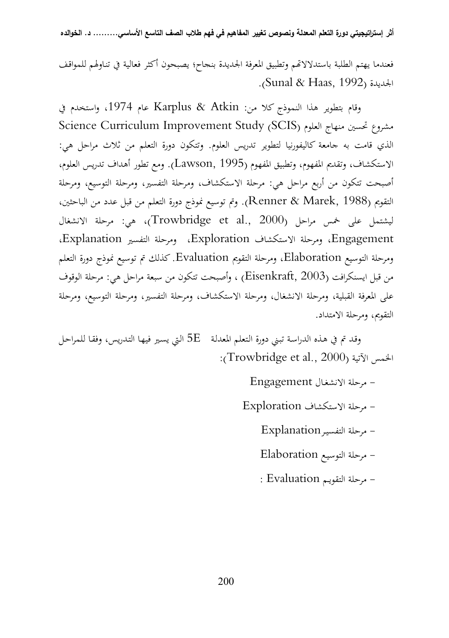فعندما يهتم الطلبة باستدلالاتحم وتطبيق المعرفة الجديدة بنجاح؛ يصبحون أكثر فعالية في تناولهم للمواقف . (Sunal & Haas, 1992) الجديدة

وقام بتطوير هذا النموذج كلا من: Atkin & Karplus عام ،1974 واستخدم في Science Curriculum Improvement Study (SCIS) العلوم منهاج تحسين مشروع الذي قامت به جامعة كاليفورنيا لتطوير تدريس العلوم. وتتكون دورة التعلم من ثلاث مراحل هي: الاستكشاف، وتقديم المفهوم، وتطبيق المفهوم (1995 ,Lawson(. ومع تطور أهداف تدريس العلوم، أصبحت تتكون من أربع مراحل هي: مرحلة الاستكشاف، ومرحلة التفسير، ومرحلة التوسيع، ومرحلة التقويم (1988 ,Marek & Renner(. وتم توسيع نموذج دورة التعلم من قبل عدد من الباحثين، ليشتمل على خمس مراحل (Trowbridge et al., 2000)، هي: مرحلة الانشغال Engagement، ومرحلة الاستكشاف Exploration، ومرحلة التفسير Explanation، ومرحلة التوسيع Elaboration، ومرحلة التقويم Evaluation . كذلك تم توسيع نموذج دورة التعلم من قبل ايسنكرافت (2003 ,Eisenkraft (، وأصبحت تتكون من سبعة مراحل هي: مرحلة الوقوف على المعرفة القبلية، ومرحلة الانشغال، ومرحلة الاستكشاف، ومرحلة التفسير، ومرحلة التوسيع، ومرحلة التقويم، ومرحلة الامتداد.

وقد تم في هذه الدراسة تبني دورة التعلم المعدلة  $E$  التي يسير فيهـا التدريس، وفقـا للمراحل : (Trowbridge et al., 2000) الآتية الخمس

- مرحلة الانشغـال Engagement

- مرحلة الاستكشاف Exploration

- مرحلة التفسيـرExplanation

- مرحلة التوسيـع Elaboration

- مرحلة التقويـم Evaluation :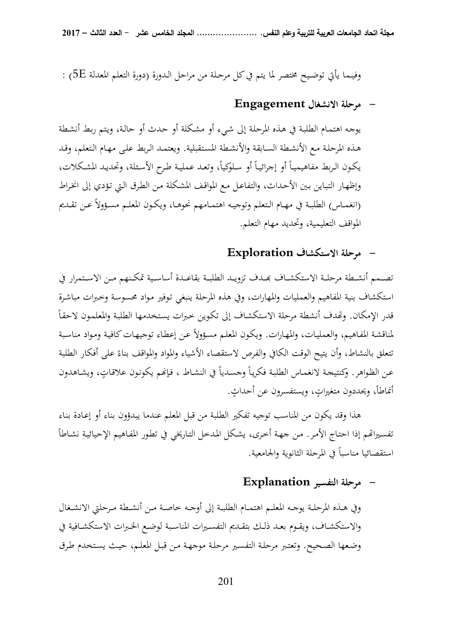وفيــما يأتي توضــيح مختصر لما يتم في كل مرحـلة من مراحل الـدورة (دورة التعلم المعدلة E5 (:

### **- مرحلة الانشغال Engagement**

يوجـه اهتمـام الطلبـة في هـذه المرحلـة إلى شـيء أو مشـكلة أو حـدث أو حالـة، ويـتم ربـط أنشـطة هـذه المرحلـة مـع الأنشـطة السـابقة والأنشـطة المسـتقبلية. ويعتمـد الـربط علـى مهـام الـتعلم، وقـد يكـون الـربط مفاهيميـاً أو إجرائيـاً أو سـلوكياً، وتعـد عمليـة طـرح الأسـئلة، وتحديـد المشـكلات، وإظهـار التبـاين بـين الأحـداث، والتفاعـل مـع المواقـف المشـكلة مـن الطـرق الـتي تـؤدي إلى انخـراط (انغمــاس) الطلبــة في مهــام الــتعلم وتوجيــه اهتمــامهم نحوهــا، ويكــون المعلــم مســؤولاً عــن تقــديم المواقف التعليمية، وتحديد مهام التعلم.

# **- مرحلة الاستكشاف Exploration**

تصــمم أنشــطة مرحلــة الاستكشــاف ــدف تزويــد الطلبــة بقاعـــدة أساســية تمكــنهم مــن الاســتمرار في استكشاف بنية المفاهيم والعمليات والمهارات، وفي هذه المرحلة ينبغي تـوفير مـواد محسوسـة وخـبرات مباشـرة قدر الإمكان. وتّمدف أنشطة مرحلة الاستكشاف إلى تكوين خبرات يستخدمها الطلبة والمعلمون لاحقاً لمناقشـة المفـاهيم، والعمليـات، والمهـارات. ويكـون المعلـم مسـؤولاً عـن إعطـاء توجيهـات كافيـة ومـواد مناسـبة تتعلق بالنشاط، وأن يتيح الوقت الكافي والفرص لاستقصاء الأشياء والمواد والمواقف بناءً على أفكار الطلبة  $\overline{\phantom{a}}$ عن الظواهر. وكنتيجة لانغماس الطلبة فكرياً وجسدياً في النشاط ، فإنحم يكونون علاقاتٍ، ويشاهدون  $\overline{a}$ أنماطاً، ويحددون متغيراتٍ، ويستفسرون عن أحداثٍ.  $\overline{a}$ 

 هذا وقد يكون من المناسب توجيه تفكير الطلبة من قبل المعلم عندما يبدؤون بناء أو إعـادة بنـاء تفسيراتمم إذا احتـاج الأمـر. مـن جهـة أخـرى، يشكل المدخل التـاريخي في تطور المفـاهيم الإحيائيـة نشـاطاً استقصائيا مناسباً في المرحلة الثانوية والجامعية.

## **- مرحلة التفسير Explanation**

وفي هــذه المرحلــة يوجــه المعلــم اهتمــام الطلبــة إلى أوجــه خاصــة مــن أنشــطة مــرحلتي الانشــغال والاستكشــاف، ويقــوم بعــد ذلــك بتقــديم التفســيرات المناســبة لوضــع الخــبرات الاستكشــافية في وضـعها الصـحيح. وتعتـبر مرحلـة التفسـير مرحلـة موجهـة مـن قبـل المعلـم، حيـث يسـتخدم طـرق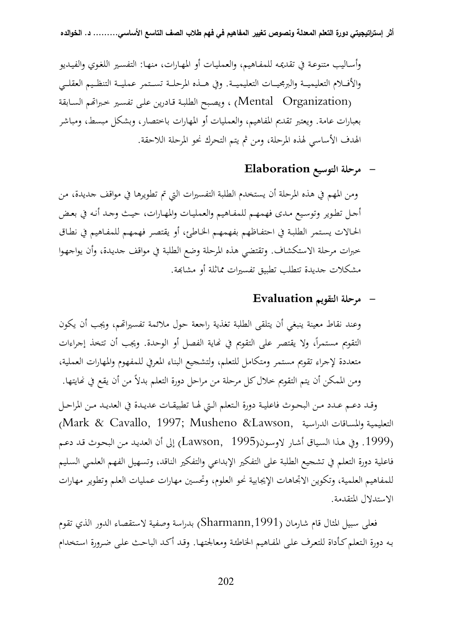وأسـاليب متنوعـة في تقديمـه للمفـاهيم، والعمليـات أو المهـارات، منهـا: التفسـير اللغـوي والفيـديو والأفـــلام التعليميـــة والبرمجيـــات التعليميـــة. وفي هـــذه المرحلـــة تســـتمر عمليـــة التنظـــيم العقلـــي (Mental Organization) ، ويصبح الطلبة قـادرين على تفسـير خـبراتهم السـابقة بعبارات عامة. ويعتبر تقديم المفاهيم، والعمليات أو المهارات باختصار، وبشكل مبسط، ومباشر الهدف الأساسي لهذه المرحلة، ومن ثم يتم التحرك نحو المرحلة اللاحقة.

### **- مرحلة التوسيع Elaboration**

ومن المهم في هذه المرحلة أن يستخدم الطلبة التفسيرات التي تم تطويرها في مواقف جديدة، من أجـل تطـوير وتوسـيع مـدى فهمهـم للمفـاهيم والعمليـات والمهـارات، حيـث وجـد أنـه في بعـض الحـالات يسـتمر الطلبـة في احتفـاظهم بفهمهـم الخـاطئ، أو يقتصـر فهمهـم للمفـاهيم في نطـاق خبرات مرحلة الاستكشاف. وتقتضي هذه المرحلة وضع الطلبة في مواقف جديـدة، وأن يواجهـوا مشكلات جديدة تتطلب تطبيق تفسيرات مماثلة أو مشابهة.

### **- مرحلة التقويم Evaluation**

وعند نقاط معينة ينبغي أن يتلقى الطلبة تغذية راجعة حول ملائمة تفسيرام، ويجب أن يكون التقويم مستمراً، ولا يقتصر على التقويم في نماية الفصل أو الوحدة. ويجب أن تتخذ إجراءات متعددة لإجراء تقويم مستمر ومتكامل للتعلم، ولتشجيع البناء المعرفي للمفهوم والمهارات العملية، ومن الممكن أن يتم التقويم خلال كل مرحلة من مراحل دورة التعلم بدلاً من أن يقع في نحايتها.

وقــد دعــم عــدد مــن البحــوث فاعليــة دورة الــتعلم الــتي لهــا تطبيقــات عديــدة في العديــد مــن المراحــل (Mark & Cavallo, 1997; Musheno &Lawson, الدراسـية والمسـاقات التعليميـة (.1999 وفي هـذا السـياق أشـار لاوسـون(1995 ,Lawson (إلى أن العديـد مـن البحـوث قـد دعـم فاعلية دورة التعلم في تشجيع الطلبة على التفكير الإبداعي والتفكير الناقد، وتسهيل الفهم العلمـي السـليم للمفاهيم العلمية، وتكوين الاتجاهات الإيجابية نحو العلوم، وتحسين مهارات عمليات العلم وتطوير مهارات الاستدلال المتقدمة.

فعلى سبيل المثال قام شارمان (Sharmann,1991) بدراسة وصفية لاستقصاء الدور الذي تقوم بـه دورة الـتعلم كـأداة للتعـرف علـى المفـاهيم الخاطئـة ومعالجتهـا. وقـد أكـد الباحـث علـى ضـرورة اسـتخدام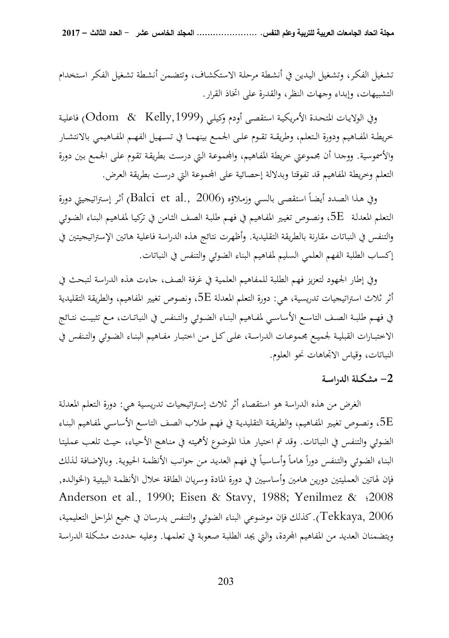تشـغيل الفكـر، وتشـغيل اليـدين في أنشـطة مرحلـة الاستكشـاف، وتتضـمن أنشـطة تشـغيل الفكـر اسـتخدام التشبيهات، وإبداء وجهات النظر، والقدرة على اتخاذ القرار.

وفي الولايـات المتحـدة الأمريكيـة استقصـى أودم وكيلـي (,1999Kelly & Odom (فاعليـة خريطـة المفـاهيم ودورة الـتعلم، وطريقــة تقـوم علـى الجمـع بينهمـا في تســهيل الفهـم المفـاهيمي بالانتشـار والأسموسية. ووجدا أن مجموعتي خريطة المفاهيم، والمجموعة التي درست بطريقة تقوم على الجمع بين دورة التعلم وخريطة المفاهيم قد تفوقتا وبدلالة إحصائية على المحموعة التي درست بطريقة العرض.

وفي هـذا الصـدد أيضـاً استقصـى بالسـي وزمـلاؤه (Balci et al., 2006) أثـر إستراتيجيتي دورة الـتعلم المعدلـة E،5 ونصـوص تغيـير المفـاهيم في فهـم طلبـة الصـف الثـامن في تركيـا لمفـاهيم البنـاء الضـوئي والتنفس في النباتات مقارنة بالطريقة التقليدية. وأظهرت نتائج هذه الدراسة فاعلية هاتين الإستراتيجيتين في إكساب الطلبة الفهم العلمي السليم لمفاهيم البناء الضوئي والتنفس في النباتات.

وفي إطار الجهود لتعزيز فهم الطلبة للمفاهيم العلمية في غرفة الصف، جاءت هذه الدراسة لتبحث في أثر ثلاث استراتيجيات تدريسية، هي: دورة التعلم المعدلة E،5 ونصوص تغيير المفاهيم، والطريقة التقليدية في فهــم طلبــة الصــف التاســع الأساســي لمفــاهيم البنــاء الضــوئي والتــنفس في النباتــات، مــع تثبيــت نتــائج الاختبــارات القبليــة لجميــع مجموعــات الدراســة، علــى كــل مــن اختبــار مفــاهيم البنــاء الضــوئي والتــنفس في النباتات، وقياس الاتجاهات نحو العلوم.

### **2- مشكـلة الدراسـة**

الغرض من هذه الدراسة هو استقصاء أثر ثلاث إستراتيجيات تدريسـية هـي: دورة الـتعلم المعدلـة ة، ونصوص تغيير المفـاهيم، والطريقـة التقليديـة في فهـم طـلاب الصف التاسـع الأساسـي لمفـاهيم البنـاء . الضوئي والتنفس في النباتات. وقد تم اختيار هذا الموضوع لأهميته في منـاهج الأحيـاء، حيـث تلعـب عمليتـا البناء الضوئي والتنفس دوراً هاماً وأساسياً في فهم العديد من جوانب الأنظمة الحيوية. وبالإضافة لذلك فإن لهاتين العمليتين دورين هامين وأساسيين في دورة المادة وسريان الطاقة خلال الأنظمـة البيئيـة (الخوالـده, Anderson et al., 1990; Eisen & Stavy, 1988; Yenilmez & ؛2008 2006 ,Tekkaya(. كذلك فإن موضوعي البناء الضوئي والتنفس يدرسان في جميع المراحل التعليمية، ويتضمنان العديد من المفاهيم المحردة، والتي يجد الطلبة صعوبة في تعلمها. وعليه حددت مشكلة الدراسة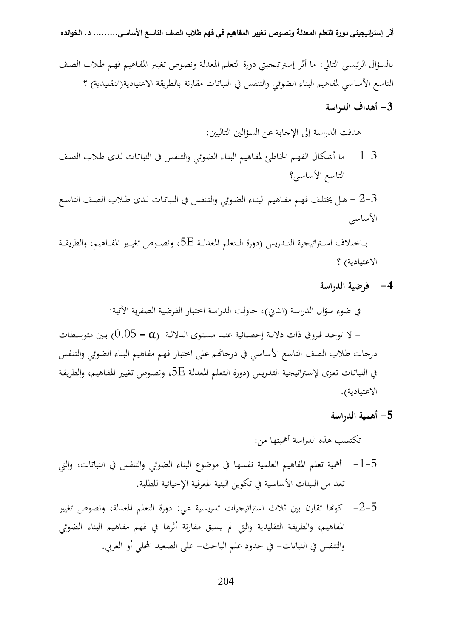بالسؤال الرئيسي التالي: ما أثر إستراتيجيتي دورة التعلم المعدلة ونصوص تغيـير المفـاهيم فهـم طـلاب الصـف التاسع الأساسي لمفاهيم البناء الضوئي والتنفس في النباتات مقارنة بالطريقة الاعتيادية(التقليدية) ؟

 **3- أهداف الدراسة** 

هدفت الدراسة إلى الإجابة عن السؤالين التاليين:

- 3-1- ما أشـكال الفهـم الخـاطئ لمفـاهيم البنـاء الضـوئي والتـنفس في النباتـات لـدى طـلاب الصـف التاسع الأساسي؟
- 3-2 هـل يختلـف فهـم مفـاهيم البنـاء الضـوئي والتـنفس في النباتـات لـدى طـلاب الصـف التاسـع الأساسي

 بــاختلاف اســـتراتيجية التــدريس (دورة الـــتعلم المعدلــة E،5 ونصـــوص تغيــير المفـــاهيم، والطريقـــة الاعتيادية) ؟

**4- فرضية الدراسة** 

في ضوء سؤال الدراسة (الثاني)، حاولت الدراسة اختبار الفرضية الصفرية الآتية: - لا توجـد فـروق ذات دلالـة إحصـائية عنــد مسـتوى الدلالـة ( α = 0.05 ( بـين متوســطات درجات طلاب الصف التاسع الأساسي في درجام على اختبار فهم مفاهيم البناء الضوئي والتـنفس في النباتـات تعـزى لإسـتراتيجية التـدريس (دورة الـتعلم المعدلـة E،5 ونصـوص تغيـير المفـاهيم، والطريقـة الاعتيادية).

 **5- أهمية الدراسة** 

تكتسب هذه الدراسة أهميتها من:

- 5-1- أهمية تعلم المفاهيم العلمية نفسها في موضوع البناء الضوئي والتنفس في النباتات، والتي تعد من اللبنات الأساسية في تكوين البنية المعرفية الإحيائية للطلبة.
- 5-2– كونّا تقارن بين ثلاث استراتيجيات تدريسية هي: دورة التعلم المعدلة، ونصوص تغيير المفاهيم، والطريقة التقليدية والتي لم يسبق مقارنة أثرها في فهم مفاهيم البناء الضوئي والتنفس في النباتات - في حدود علم الباحث - على الصعيد المحلي أو العربي.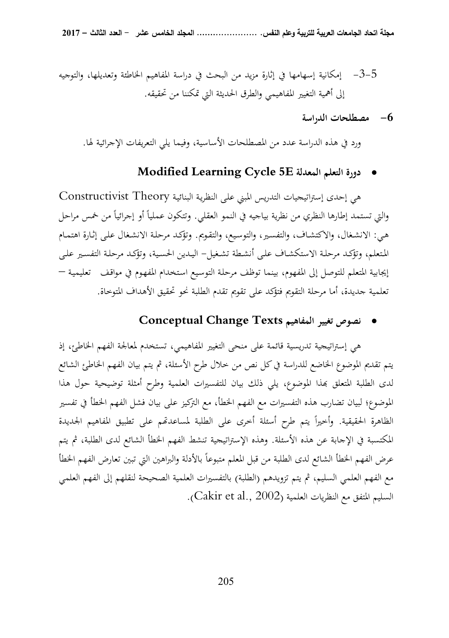- 5-3- إمكانية إسهامها في إثارة مزيد من البحث في دراسة المفاهيم الخاطئة وتعديلها، والتوجيه إلى أهمية التغيير المفاهيمي والطرق الحديثة التي تمكننا من تحقيقه.
	- **6- مصطلحات الدراسة**

ورد في هذه الدراسة عدد من المصطلحات الأساسية، وفيما يلي التعريفات الإجرائية لها.

# **Modified Learning Cycle 5E المعدلة التعلم دورة**•

هي إحدى إستراتيجيات التدريس المبني علـى النظريـة البنائيـة Theory Constructivist والتي تستمد إطارها النظري من نظرية بياجيه في النمو العقلي. وتتكون عملياً أو إجرائياً من خمس مراحل هـي: الانشـغال، والاكتشـاف، والتفسـير، والتوسـيع، والتقـويم. وتؤكـد مرحلـة الانشـغال علـى إثـارة اهتمـام المـتعلم، وتؤكـد مرحلـة الاستكشـاف علـى أنشـطة تشـغيل - اليــدين الحسـية، وتؤكـد مرحلـة التفسـير علـى إيجابية المتعلم للتوصل إلى المفهوم، بينما توظف مرحلـة التوسـيع اسـتخدام المفهـوم في مواقـف تعليميـة – تعلمية جديدة، أما مرحلة التقويم فتؤكد على تقويم تقدم الطلبة نحو تحقيق الأهداف المتوخاة.

# • **نصوص تغيير المفاهيم Texts Change Conceptual**

هي إستراتيجية تدريسية قائمة على منحى التغيير المفاهيمي، تستخدم لمعالجة الفهم الخاطئ، إذ يتم تقديم الموضوع الخاضع للدراسة في كل نص من خلال طرح الأسئلة، ثم يتم بيان الفهم الخاطئ الشائع لدى الطلبة المتعلق بهذا الموضوع، يلي ذلك بيان للتفسيرات العلمية وطرح أمثلة توضيحية حول هذا الموضوع؛ لبيان تضارب هذه التفسيرات مع الفهم الخطأ، مع التركيز على بيان فشل الفهم الخطأ في تفسير الظاهرة الحقيقية. وأخيراً يتم طرح أسئلة أخرى على الطلبة لمساعدتمم على تطبيق المفاهيم الجديدة المكتسبة في الإجابة عن هذه الأسئلة. وهذه الإستراتيجية تنشط الفهم الخطأ الشائع لدى الطلبة، ثم يتم عرض الفهم الخطأ الشائع لدى الطلبة من قبل المعلم متبوعاً بالأدلة والبراهين التي تبين تعارض الفهم الخطأ مع الفهم العلمي السليم، ثم يتم تزويدهم (الطلبة) بالتفسيرات العلمية الصحيحة لنقلهم إلى الفهم العلمي السليم المتفق مع النظريات العلمية (2002 .,al et Cakir(**.**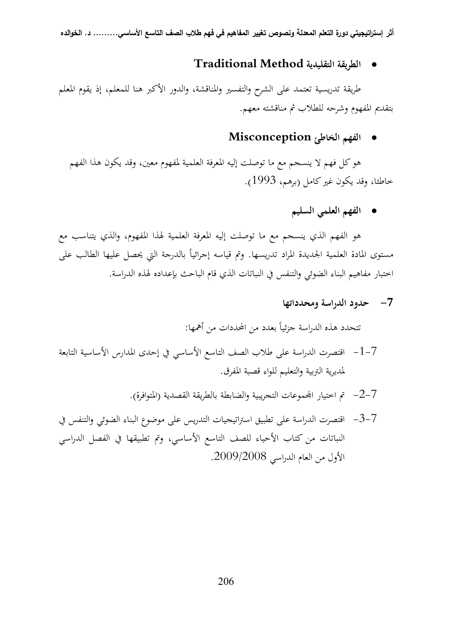### • **الطريقة التقليدية Method Traditional**

طريقة تدريسية تعتمد على الشرح والتفسير والمناقشة، والدور الأكبر هنا للمعلم، إذ يقوم المعلم بتقديم المفهوم وشرحه للطلاب ثم مناقشته معهم.

### • **الفهم الخاطئ Misconception**

 هو كل فهم لا ينسجم مع ما توصلت إليه المعرفة العلمية لمفهوم معين، وقد يكون هذا الفهم خاطئا، وقد يكون غير كامل (برهم، 1993 ).

# • **الفهم العلمي السليم**

 هو الفهم الذي ينسجم مع ما توصلت إليه المعرفة العلمية لهذا المفهوم، والذي يتناسب مع مستوى المادة العلمية الجديدة المراد تدريسها. وتم قياسه إجرائياً بالدرجة التي يحصل عليها الطالب على اختبار مفاهيم البناء الضوئي و التنفس في النباتات الذي قام الباحث بإعداده لهذه الدراسة.

# **7- حدود الدراسة ومحدداتها**

تتحدد هذه الدراسة جزئياً بعدد من المحددات من أهمها:

- 7-1- اقتصرت الدراسة على طلاب الصف التاسع الأساسي في إحدى المدارس الأساسية التابعة لمديرية التربية والتعليم للواء قصبة المفرق.
	- 7-2- تم اختيار اموعات التجريبية والضابطة بالطريقة القصدية (المتوافرة).
- 7-3- اقتصرت الدراسة على تطبيق استراتيجيات التدريس على موضوع البناء الضوئي و التنفس في النباتات من كتاب الأحياء للصف التاسع الأساسي، وتم تطبيقها في الفصل الدراسي الأول من العام الدراسي .2009/2008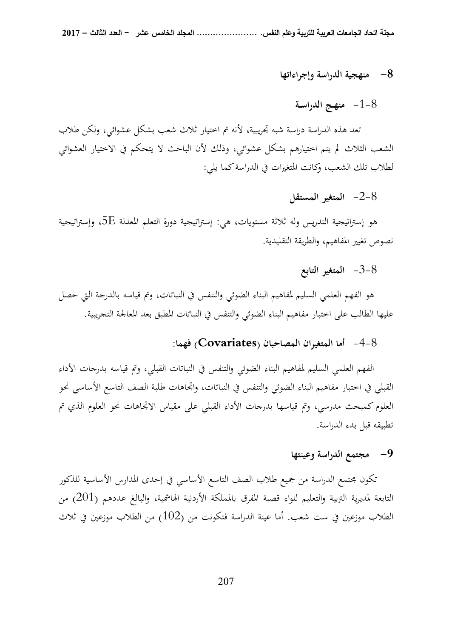#### **8- منهجية الدراسة وإجراءاتها**

# 8-1- **منهـج الدراسـة**

تعد هذه الدراسة دراسة شبه تجريبية، لأنه تم اختيار ثلاث شعب بشكل عشوائي، ولكن طلاب الشعب الثلاث لم يتم اختيارهم بشكل عشوائي، وذلك لأن الباحث لا يتحكم في الاختيار العشوائي لطلاب تلك الشعب، وكانت المتغيرات في الدراسة كما يلي:

### 8-2- **المتغير المستقل**

هو إستراتيجية التدريس وله ثلاثة مستويات، هي: إستراتيجية دورة التعلم المعدلة  $5\mathrm{E}$ ، وإستراتيجية نصوص تغيير المفاهيم، والطريقة التقليدية.

# 8-3- **المتغير التابع**

هو الفهم العلمي السليم لمفاهيم البناء الضوئي والتنفس في النباتات، وتم قياسه بالدرجة التي حصل عليها الطالب على اختبار مفاهيم البناء الضوئي والتنفس في النباتات المطبق بعد المعالجة التجريبية.

### 8-4- **أما المتغيران المصاحبان (Covariates (فهما:**

الفهم العلمي السليم لمفاهيم البناء الضوئي والتنفس في النباتات القبلي، وتم قياسه بدرجات الأداء القبلي في اختبار مفاهيم البناء الضوئي والتنفس في النباتات، واتجاهات طلبة الصف التاسع الأساسي نحو العلوم كمبحث مدرسي، وتم قياسها بدرجات الأداء القبلي على مقياس الاتجاهات نحو العلوم الذي تم تطبيقه قبل بدء الدراسة.

### **9- مجتمع الدراسة وعينتها**

تكون مجتمع الدراسة من جميع طلاب الصف التاسع الأساسي في إحدى المدارس الأساسية للذكور التابعة لمديرية التربية والتعليم للواء قصبة المفرق بالمملكة الأردنية الهاشمية، والبالغ عددهم (201) من الطلاب موزعين في ست شعب. أما عينة الدراسة فتكونت من (102) من الطلاب موزعين في ثلاث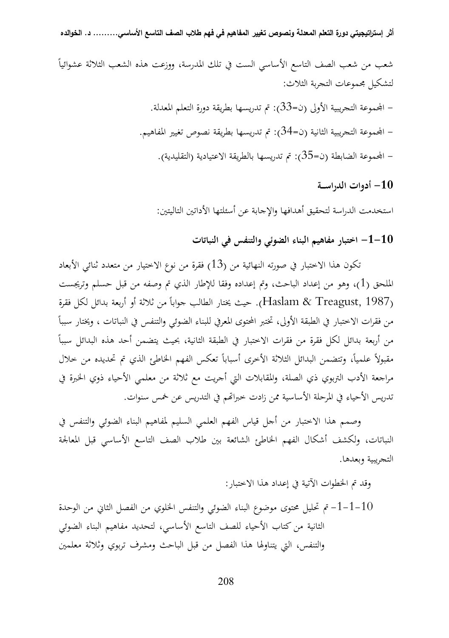$\overline{a}$ شعب من شعب الصف التاسع الأساسي الست في تلك المدرسة، ووزعت هذه الشعب الثلاثة عشوائيا لتشكيل مجموعات التجربة الثلاث: - اموعة التجريبية الأولى (ن=33): تم تدريسها بطريقة دورة التعلم المعدلة. - اموعة التجريبية الثانية (ن=34): تم تدريسها بطريقة نصوص تغيير المفاهيم. – المجموعة الضابطة (ن=35): تم تدريسها بالطريقة الاعتيادية (التقليدية).

**10 - أدوات الدراســة** 

استخدمت الدراسة لتحقيق أهدافها والإجابة عن أسئلتها الأداتين التاليتين:

**10 - -1 اختبار مفاهيم البناء الضوئي و التنفس في النباتات** 

تكون هذا الاختبار في صورته النهائية من (13) فقرة من نوع الاختيار من متعدد ثنائي الأبعاد الملحق (1)، وهو من إعداد الباحث، وتم إعداده وفقا للإطار الذي تم وصفه من قبل حسلم وتريجست (Haslam & Treagust, 1987). حيث يختار الطالب جواباً من ثلاثة أو أربعة بدائل لكل فقرة  $\overline{a}$ من فقرات الاختبار في الطبقة الأولى، تختبر المحتوى المعرفي للبناء الضوئي والتنفس في النباتات ، ويختار سببا  $\overline{a}$ من أربعة بدائل لكل فقرة من فقرات الاختبار في الطبقة الثانية، بحيث يتضمن أحد هذه البدائل سببا مقبولاً علمياً، وتتضمن البدائل الثلاثة الأخرى أسباباً تعكس الفهم الخاطئ الذي تم تحديده من خلال مراجعة الأدب التربوي ذي الصلة، والمقابلات التي أجريت مع ثلاثة من معلمي الأحياء ذوي الخبرة في تدريس الأحياء في المرحلة الأساسية ممن زادت خبراتهم في التدريس عن خمس سنوات.

وصمم هذا الاختبار من أجل قياس الفهم العلمي السليم لمفاهيم البناء الضوئي والتنفس في النباتات، ولكشف أشكال الفهم الخاطئ الشائعة بين طلاب الصف التاسع الأساسي قبل المعالجة التجريبية وبعدها.

وقد تم الخطوات الآتية في إعداد هذا الاختبار:

10-1-1- تم تحليل محتوى موضوع البناء الضوئي والتنفس الخلوي من الفصل الثاني من الوحدة الثانية من كتاب الأحياء للصف التاسع الأساسي، لتحديد مفاهيم البناء الضوئي والتنفس، التي يتناولها هذا الفصل من قبل الباحث ومشرف تربوي وثلاثة معلمين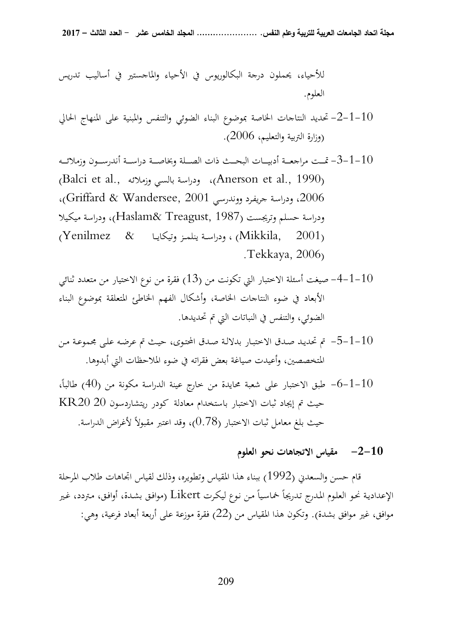للأحياء، يحملون درجة البكالوريوس في الأحياء والماجستير في أساليب تدريس العلوم.

- 10 -1-2- تحديد النتاجات الخاصة بموضوع البناء الضوئي والتنفس والمبنية على المنهاج الحالي (وزارة التربية والتعليم، 2006 ).
- 10-1-3- تمــت مراجعــة أدبيــات البحــث ذات الصــلة وبخاصـــة دراســة أندرســون وزملائــه $-1$ (Balci et al., وزملائـه بالسـي ودراسـة ،) Anerson et al., 1990) ،2006 ودراسـة جريفـرد و وندرسـي 2001 ,Wandersee & Griffard(، ودراسة حسلم وتريجست (1987 ,Treagust& Haslam(، ودراسة ميكـيلا  $(Y$ enilmez  $\&$  (Mikkila, 2001) ، ودراسـة ينلمـز وتيكايـا (V . Tekkaya, 2006)
- 10–1 $-4$  صيغت أسئلة الاختبار التي تكونت من (13) فقرة من نوع الاختيار من متعدد ثنائ<sub>ى</sub> الأبعاد في ضوء النتاجات الخاصة، وأشكال الفهم الخاطئ المتعلقة بموضوع البناء الضوئي، والتنفس في النباتات التي تم تحديدها.
- 10-1-5- تم تحديد صدق الاختبار بدلالـة صدق المحتوى، حيث تم عرضه على مجموعـة مـن $-1\!-\!1$ المتخصصين، وأعيدت صياغة بعض فقراته في ضوء الملاحظات التي أبدوها.
- ،ً 10 -1-6- طبق الاختبار على شعبة محايدة من خارج عينة الدراسة مكونة من (40) طالبا حيث تم إيجاد ثبات الاختبار باستخدام معادلة كودر ريتشاردسون 20 20KR حيث بلغ معامل ثبات الاختبار (0.78)، وقد اعتبر مقبولاً لأغراض الدراسة.

### **10 - -2 مقياس الاتجاهات نحو العلوم**

قام حسن والسعدني (1992) ببناء هذا المقياس وتطويره، وذلك لقياس اتجاهات طلاب المرحلة الإعدادية نحو العلوم المدرج تدريجاً خماسياً من نوع ليكرت Likert (موافق بشدة، أوافق، متردد، غير موافق، غير موافق بشدة). وتكون هذا المقياس من (22) فقرة موزعة على أربعة أبعاد فرعية، وهي: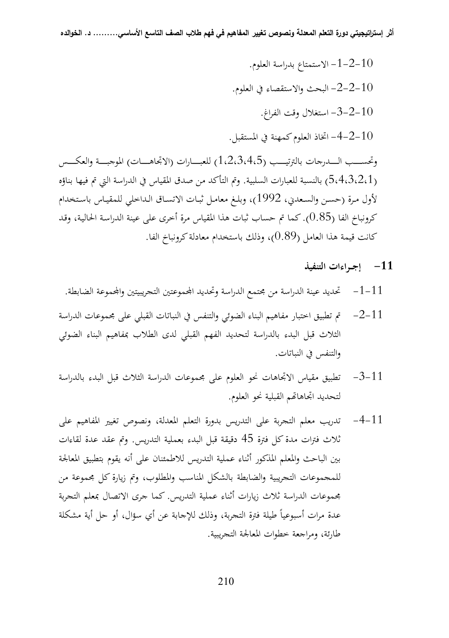10 -2-1- الاستمتاع بدراسة العلو م. 10 -2-2- البحث والاستقصاء في العلوم. $-2$ -2-10 -2-3- استغلال وقت الفراغ. 10 -2–4- اتخاذ العلوم كمهنة في المستقبل. $-4$ وتحســـب الــــدرجات بالترتيـــب (1،2،3،4،5) للعبــــارات (الاتجاهــــات) الموجبـــة والعكـــس (5،4،3،2،1) بالنسبة للعبارات السلبية. وتم التأكد من صدق المقياس في الدراسة التي تم فيها بناؤه لأول مـرة (حسـن والسـعدني، 1992)، وبلــغ معامـل ثبـات الاتســاق الـداخلي للمقيـاس باســتخدام

كرونباخ الفا (0.85). كما تم حساب ثبات هذا المقياس مرة أخرى على عينة الدراسـة الحاليـة، وقـد كانت قيمة هذا العامل (0.89)، وذلك باستخدام معادلة كرونباخ الفا.

- **-11 إجــراءات التنفيذ**
- 11 -1- تحديد عينة الدراسة من مجتمع الدراسة وتحديد اموعتين التجريبيتين واموعة الضابطة.
- $11$  -2 $-$  تم تطبيق اختبار مفاهيم البناء الضوئي والتنفس في النباتات القبلي على مجموعات الدراسة الثلاث قبل البدء بالدراسة لتحديد الفهم القبلي لدى الطلاب بمفاهيم البناء الضوئي والتنفس في النباتات.
- 11 -3- تطبيق مقياس الاتجاهات نحو العلوم على مجموعات الدراسة الثلاث قبل البدء بالدراسة لتحديد اتجاهاتهم القبلية نحو العلوم.
- 11 -4- تدريب معلم التجربة على التدريس بدورة التعلم المعدلة، ونصوص تغيير المفاهيم على ثلاث فترات مدة كل فترة 45 دقيقة قبل البدء بعملية التدريس. وتم عقد عدة لقاءات بين الباحث والمعلم المذكور أثناء عملية التدريس للاطمئنان على أنه يقوم بتطبيق المعالجة للمجموعات التجريبية والضابطة بالشكل المناسب والمطلوب، وتم زيارة كل مجموعة من مجموعات الدراسة ثلاث زيارات أثناء عملية التدريس. كما جرى الاتصال بمعلم التجر بة عدة مرات أسبوعياً طيلة فترة التجربة، وذلك للإجابة عن أي سؤال، أو حل أية مشكلة طارئة، ومراجعة خطوات المعالجة التجريبية.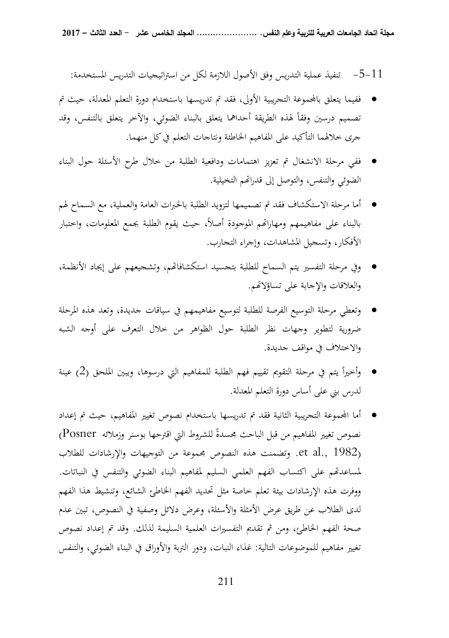11 -5- تنفيذ عملية التدريس وفق الأصول اللازمة لكل من استراتيجيات التدريس المستخدمة:

- ففيما يتعلق باموعة التجريبية الأولى، فقد تم تدريسها باستخدام دورة التعلم المعدلة، حيث تم تصميم درسين وفقاً لهذه الطريقة أحداهما يتعلق بالبناء الضوئي، والآخر يتعلق بالتنفس، وقد جرى خلالهما التأكيد على المفاهيم الخاطئة ونتاجات التعلم في كل منهما.
- ففي مرحلة الانشغال تم تعزيز اهتمامات ودافعية الطلبة من خلال طرح الأسئلة حول البناء الضوئي والتنفس، والتوصل إلى قدراتهم التخيلية.
- أما مرحلة الاستكشاف فقد تم تصميمها لتزويد الطلبة بالخبرات العامة والعملية، مع السماح لهم بالبناء على مفاهيمهم ومهاراتهم الموجودة أصلأ، حيث يقوم الطلبة بجمع المعلومات، واختبار الأفكار، وتسجيل المشاهدات، وإجراء التجارب.
- وفي مرحلة التفسير يتم السماح للطلبة بتجسيد استكشافام، وتشجيعهم على إيجاد الأنظمة، والعلاقات والإجابة على تساؤلام.
- وتعطي مرحلة التوسيع الفرصة للطلبة لتوسيع مفاهيمهم في سياقات جديدة، وتعد هذه المرحلة ضرورية لتطوير وجهات نظر الطلبة حول الظواهر من خلال التعرف على أوجه الشبه والاختلاف في مواقف جديدة.
- يت م في مرحلة التقويم تقييم فهم الطلبة للمفاهيم التي درسوها، ويبين الملحق (2) عينة وأخيرا  $\frac{1}{2}$ لدرس بني على أساس دورة التعلم المعدلة.
- أما اموعة التجريبية الثانية فقد تم تدريسها باستخدام نصوص تغيير المفاهيم، حيث تم إعداد نصوص تغيير المفاهيم من قبل الباحث مجسدةً للشروط التي اقترحها بوسنر وزملائه Posner) (1982 .,al et. وتضمنت هذه النصوص مجموعة من التوجيهات والإرشادات للطلاب لمساعدتهم على اكتساب الفهم العلمي السليم لمفاهيم البناء الضوئي والتنفس في النباتات. ووفرت هذه الإرشادات بيئة تعلم خاصة مثل تحديد الفهم الخاطئ الشائع، وتنشيط هذا الفهم لدى الطلاب عن طريق عرض الأمثلة والأسئلة، وعرض دلائل وصفية في النصوص، تبين عدم صحة الفهم الخاطئ، ومن ثم تقديم التفسيرات العلمية السليمة لذلك. وقد تم إعداد نصوص تغيير مفاهيم للموضوعات التالية: غذاء النبات، ودور التربة والأوراق في البناء الضوئي، والتنفس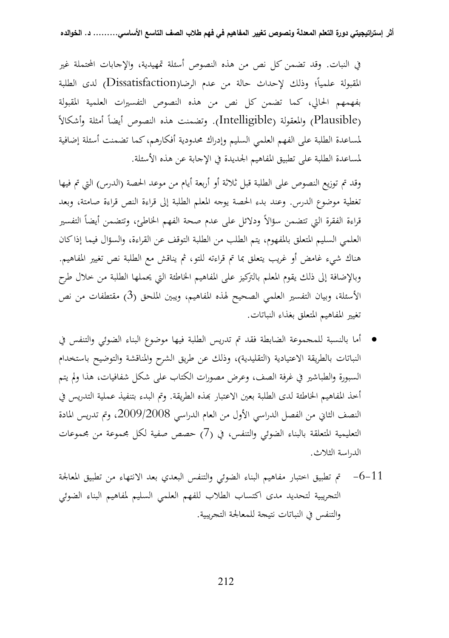في النبات. وقد تضمن كل نص من هذه النصوص أسئلة تمهيدية، والإجابات المحتملة غير المقبولة علمياً؛ وذلك لإحداث حالة من عدم الرضا(Dissatisfaction) لدى الطلبة بفهمهم الحالي، كما تضمن كل نص من هذه النصوص التفسيرات العلمية المقبولة ً (Plausible (والمعقولة (Intelligible (أمثلة وأشكالاً . وتضمنت هذه النصوص أيضا لمساعدة الطلبة على الفهم العلمي السليم وإدراك محدودية أفكارهم، كما تضمنت أسئلة إضافية لمساعدة الطلبة على تطبيق المفاهيم الجديدة في الإجابة عن هذه الأسئلة.

وقد تم توزيع النصوص على الطلبة قبل ثلاثة أو أربعة أيام من موعد الحصة (الدرس) التي تم فيها تغطية موضوع الدرس. وعند بدء الحصة يوجه المعلم الطلبة إلى قراءة النص قراءة صامتة، وبعد قراءة الفقرة التي تتضمن سؤالاً ودلائل على عدم صحة الفهم الخاطئ، وتتضمن أيضاً التفسير العلمي السليم المتعلق بالمفهوم، يتم الطلب من الطلبة التوقف عن القراءة، والسؤال فيما إذا كان هناك شيء غامض أو غريب يتعلق بما تم قراءته للتو، ثم يناقش مع الطلبة نص تغيير المفاهيم. وبالإضافة إلى ذلك يقوم المعلم بالتركيز على المفاهيم الخاطئة التي يحملها الطلبة من خلال طرح الأسئلة، وبيان التفسير العلمي الصحيح لهذه المفاهيم، ويبين الملحق (3) مقتطفات من نص تغيير المفاهيم المتعلق بغذاء النباتات.

- أما بالنسبة للمجموعة الضابطة فقد تم تدريس الطلبة فيها موضوع البناء الضوئي والتنفس في النباتات بالطريقة الاعتيادية (التقليدية)، وذلك عن طريق الشرح والمناقشة والتوضيح باستخدام السبورة والطباشير في غرفة الصف، و عرض مصورات الكتاب على شكل شفافيات، هذا ولم يتم أخذ المفاهيم الحاطئة لدى الطلبة بعين الاعتبار بمذه الطريقة. وتم البدء بتنفيذ عملية التدريس في النصف الثاني من الفصل الدراسي الأول من العام الدراسي ،2009/2008 وتم تدريس المادة التعليمية المتعلقة بالبناء الضوئي والتنفس، في (7) حصص صفية لكل مجموعة من مجموعات الدراسة الثلاث.
- 5 $-6$  تم تطبيق اختبار مفاهيم البناء الضوئي والتنفس البعدي بعد الانتهاء من تطبيق المعالجة  $\sim$ التجريبية لتحديد مدى اكتساب الطلاب للفهم العلمي السليم لمفاهيم البناء الضوئي والتنفس في النباتات نتيجة للمعالجة التجريبية.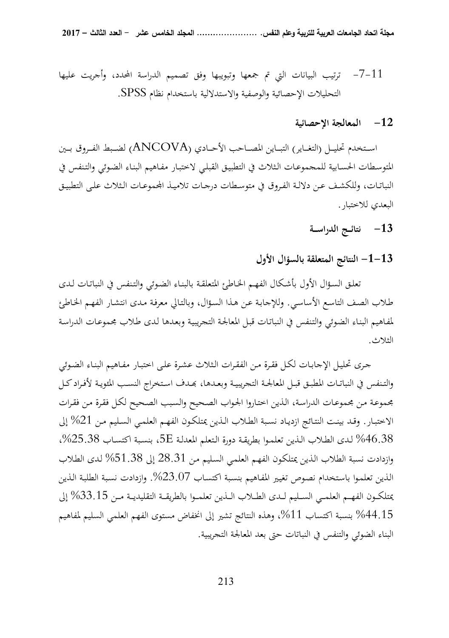11 -7- ترتيب البيانات التي تم جمعها وتبويبها وفق تصميم الدراسة المحدد، وأجريت عليها التحليلات الإحصائية والوصفية والاستدلالية باستخدام نظام SPSS .

### **-12 المعالجة الإحصائية**

اســـتخدم تحليـــل (التغـــاير) التبـــاين المصـــاحب الأحـــادي (ANCOVA (لضـــبط الفـــروق بـــين المتوسـطات الحسـابية للمجموعـات الـثلاث في التطبيـق القبلـي لاختبـار مفـاهيم البنـاء الضـوئي والتـنفس في النباتـات، وللكشف عـن دلالـة الفـروق في متوسـطات درجـات تلاميـذ المجموعـات الـثلاث علـى التطبيـق البعدي للاختبار.

# **-13 نتائــج الدراســة**

### **13 - -1 النتائج المتعلقة بالسؤال الأول**

 تعلـق السـؤال الأول بأشـكال الفهـم الخـاطئ المتعلقـة بالبنـاء الضـوئي والتـنفس في النباتـات لـدى طـلاب الصـف التاسـع الأساسـي. وللإجابـة عـن هـذا السـؤال، وبالتـالي معرفـة مـدى انتشـار الفهـم الخـاطئ لمفـاهيم البنـاء الضـوئي والتـنفس في النباتـات قبـل المعالجـة التجريبيـة وبعـدها لـدى طـلاب مجموعـات الدراسـة الثلاث.

 جـرى تحليـل الإجابـات لكـل فقـرة مـن الفقـرات الـثلاث عشـرة علـى اختبـار مفـاهيم البنـاء الضـوئي والتـنفس في النباتـات المطبـق قبـل المعالجـة التجريبيـة وبعـدها، بمـدف اسـتخراج النسـب المئويـة لأفـراد كـل مجموعـة مـن مجموعـات الدراسـة، الـذين اختـاروا الجـواب الصـحيح والسـبب الصـحيح لكـل فقـرة مـن فقـرات الاختبـار. وقـد بينـت النتـائج ازديـاد نسـبة الطـلاب الـذين يمتلكـون الفهـم العلمـي السـليم مـن 21 % إلى 46.38 % لـدى الطـلاب الـذين تعلمـوا بطريقـة دورة الـتعلم المعدلـة E،5 بنسـبة اكتسـاب ،%25.38 وازدادت نسبة الطلاب الـذين يمتلكـون الفهـم العلمـي السـليم مـن 28.31 إلى 51.38 % لـدى الطـلاب الـذين تعلمـوا باسـتخدام نصـوص تغيـير المفـاهيم بنسـبة اكتسـاب .%23.07 وازدادت نسـبة الطلبـة الـذين يمتلكـــون الفهـــم العلمـــي الســـليم لـــدى الطـــلاب الـــذين تعلمـــوا بالطريقـــة التقليديـــة مـــن 33.15 % إلى بنسبة اكتساب 11%، وهذه النتائج تشير إلى انخفاض مستوى الفهم العلمي السليم لمفاهيم  $44.15\,$ البناء الضوئي والتنفس في النباتات حتى بعد المعالجة التجريبية.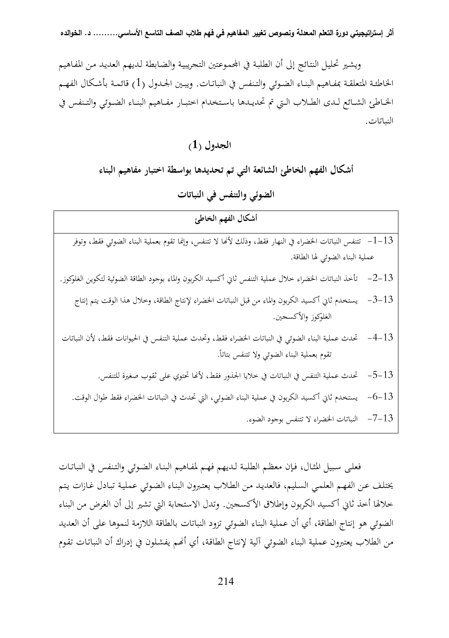ويشـير تحليـل النتـائج إلى أن الطلبـة في امـوعتين التجريبيـة والضـابطة لـديهم العديـد مـن المفـاهيم الخاطئـة المتعلقــة بمفــاهيم البنــاء الضــوئي والتــنفس في النباتـات. ويبــين الجــدول (1) قائمــة بأشــكال الفهــم الخــاطئ الشــائع لــدى الطــلاب الــتي تم تحديــدها باســتخدام اختبــار مفــاهيم البنــاء الضــوئي والتــنفس في النباتات.

**الجدول ( )1**

**أشكال الفهم الخاطئ الشائعة التي تم تحديدها بواسطة اختبار مفاهيم البناء** 

**الضوئي والتنفس في النباتات** 

| أشكال الفهم الخاطئ                                                                                           |           |
|--------------------------------------------------------------------------------------------------------------|-----------|
| 1–1–   تتنفس النباتات الخضراء في النهار فقط، وذلك لأنما لا تتنفس، وإنما تقوم بعملية البناء الضوئي فقط، وتوفر |           |
| عملية البناء الضوئي لها الطاقة.                                                                              |           |
| تأخذ النباتات الخضراء خلال عملية التنفس ثاني أكسيد الكربون والماء بوجود الطاقة الضوئية لتكوين الغلوكوز.      | $-2-13$   |
| يستخدم ثاني أكسيد الكربون والماء من قبل النباتات الخضراء لإنتاج الطاقة، وخلال هذا الوقت يتم إنتاج            | $-3-13$   |
| الغلوكوز والأكسحين.                                                                                          |           |
| تحدث عملية البناء الضوئي في النباتات الخضراء فقط، وتحدث عملية التنفس في الحيوانات فقط، لأن النباتات          | $-4-13$   |
| تقوم بعملية البناء الضوئي ولا تتنفس بتاتاً.                                                                  |           |
| تحدث عملية التنفس في النباتات في خلايا الجذور فقط، لأنها تحتوي على ثقوب صغيرة للتنفس.                        | $-5 - 13$ |
| يستخدم ثاني أكسيد الكربون في عملية البناء الضوئي، التي تحدث في النباتات الخضراء فقط طوال الوقت.              | $-6 - 13$ |
| النباتات الخضراء لا تتنفس بوجود الضوء.                                                                       | $-7 - 13$ |

فعلـى سـبيل المثـال، فـإن معظـم الطلبـة لـديهم فهـم لمفـاهيم البنـاء الضـوئي والتـنفس في النباتـات يختلـف عـن الفهـم العلمـي السـليم، فالعديـد مـن الطـلاب يعتـبرون البنـاء الضـوئي عمليـة تبـادل غـازات يـتم خلالها أخذ ثاني أكسيد الكربون وإطلاق الأكسجين. وتدل الاستجابة التي تشير إلى أن الغرض من البناء الضوئي هو إنتاج الطاقة، أي أن عملية البناء الضوئي تزود النباتات بالطاقة اللازمة لنموها على أن العديد من الطلاب يعتبرون عملية البناء الضوئي آلية لإنتاج الطاقة، أي أنهم يفشلون في إدراك أن النباتات تقوم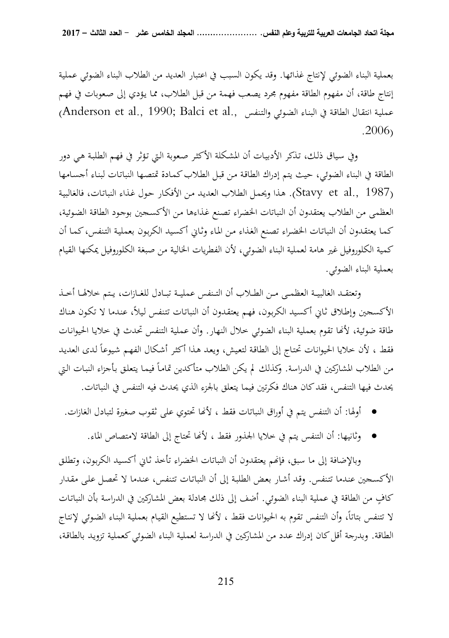بعملية البناء الضوئي لإنتاج غذائها. وقد يكون السبب في اعتبار العديد من الطلاب البناء الضوئي عملية إنتاج طاقة، أن مفهوم الطاقة مفهوم مجرد يصعب فهمة من قبل الطـلاب، ممـا يـؤدي إلى صـعوبات في فهـم رAnderson et al., 1990; Balci et al., والتنفس .,alci et al., فعملية انتقال الطاقة في البناء الضوئي والتنفس . 2006)

وفي سـياق ذلـك، تـذكر الأدبيـات أن المشـكلة الأكثـر صـعوبة الـتي تـؤثر في فهـم الطلبـة هـي دور الطاقة في البناء الضوئي، حيث يتم إدراك الطاقـة مـن قبـل الطـلاب كمـادة تمتصـها النباتـات لبنـاء أجسـامها (1987 .Stavy et al). هـذا ويحمل الطلاب العديد من الأفكـار حول غـذاء النباتات، فالغالبية العظمى من الطلاب يعتقدون أن النباتات الخضراء تصـنع غـذاءها مـن الأكسـجين بوجـود الطاقـة الضـوئية، كمـا يعتقـدون أن النباتـات الخضـراء تصـنع الغـذاء مـن المـاء وثـاني أكسـيد الكربـون بعمليـة التـنفس، كمـا أن كمية الكلوروفيل غير هامة لعملية البناء الضوئي، لأن الفطريات الخالية من صبغة الكلوروفيل يمكنها القيام بعملية البناء الضوئي.

وتعتقــد الغالبيــة العظمــى مــن الطــلاب أن التــنفس عمليـــة تبــادل للغــازات، يــتم خلالهــا أخــذ الأكسجين وإطـلاق ثـاني أكسـيد الكربـون، فهـم يعتقـدون أن النباتـات تتـنفس لـيلا،ً عنـدما لا تكـون هنـاك طاقة ضوئية، لأنها تقوم بعملية البناء الضوئي خلال النهار. وأن عملية التنفس تحدث في خلايـا الحيوانـات فقط ، لأن خلايا الحيوانات تحتاج إلى الطاقة لتعيش، ويعد هذا أكثر أشكال الفهم شيوعاً لدى العديد من الطلاب المشاركين في الدراسة. وكذلك لم يكن الطلاب متأكدين تماماً فيمـا يتعلق بأجزاء النبات التي يحدث فيها التنفس، فقد كان هناك فكرتين فيما يتعلق بالجزء الذي يحدث فيه التنفس في النباتات.

- أولها: أن التنفس يتم في أوراق النباتات فقط ، لأا تحتوي على ثقوب صغيرة لتبادل الغازات.
	- وثانيها: أن التنفس يتم في خلايا الجذور فقط ، لأا تحتاج إلى الطاقة لامتصاص الماء.

وبالإضافة إلى ما سبق، فإنهم يعتقدون أن النباتات الخضراء تأخذ ثـاني أكسـيد الكربون، وتطلق الأكسـجين عنـدما تتـنفس. وقـد أشـار بعـض الطلبـة إلى أن النباتـات تتـنفس، عنـدما لا تحصـل علـى مقـدار كافٍ من الطاقة في عملية البناء الضوئي. أضف إلى ذلك مجادلة بعض المشاركين في الدراسة بأن النباتات لا تتنفس بتاتاً، وأن التنفس تقوم به الحيوانات فقط ، لأنها لا تستطيع القيـام بعمليـة البنـاء الضـوئـي لإنتـاج الطاقة. وبدرجة أقل كان إدراك عدد من المشاركين في الدراسة لعملية البناء الضوئي كعملية تزويـد بالطاقـة،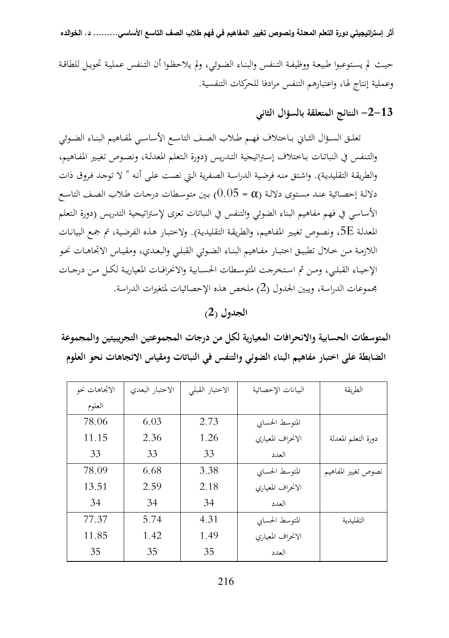حيـث لم يسـتوعبوا طبيعـة ووظيفـة التـنفس والبنـاء الضـوئي، ولم يلاحظـوا أن التـنفس عمليـة تحويـل للطاقـة وعملية إنتاج لها، واعتبارهم التنفس مرادفا للحركات التنفسية.

**13 - -2 النتائج المتعلقة بالسؤال الثاني** 

 تعلــق الســؤال الثــاني بــاختلاف فهــم طــلاب الصــف التاســع الأساســي لمفــاهيم البنــاء الضــوئي والتـنفس في النباتـات بـاختلاف إسـتراتيجية التـدريس (دورة الـتعلم المعدلـة، ونصـوص تغيـير المفـاهيم، والطريقـة التقليديـة). واشـتق منـه فرضـية الدراسـة الصـفرية الـتي نصـت علـى أنـه " لا توجـد فـروق ذات دلالـة إحصـائية عنـد مستوى دلالـة (a = 0.05) بـين متوسـطات درجـات طـلاب الصـف التاسـع الأساسي في فهم مفاهيم البناء الضوئي والتنفس في النباتات تعزى لإستراتيجية التدريس (دورة الـتعلم المعدلـة E،5 ونصـوص تغيـير المفـاهيم، والطريقـة التقليديـة). ولاختبـار هـذه الفرضـية، تم جمـع البيانـات اللازمـة مـن خــلال تطبيـق اختبـار مفـاهيم البنـاء الضـوئي القبلـي والبعـدي، ومقيـاس الاتجاهـات نحـو الإحيــاء القبلــي، ومــن ثم اســتخرجت المتوســطات الحســابية والانحرافــات المعياريــة لكــل مــن درجــات مجموعات الدراسة، ويبين الجدول (2) ملخص هذه الإحصائيات لمتغيرات الدراسة.

**الجدول ( )2**

**المتوسطات الحسابية والانحرافات المعيارية لكل من درجات المجموعتين التجريبيتين والمجموعة الضابطة على اختبار مفاهيم البناء الضوئي والتنفس في النباتات ومقياس الاتجاهات نحو العلوم** 

| الاتجاهات نحو | الاختبار البعدي | الاختبار القبلي | البيانات الإحصائية | الطريقة             |
|---------------|-----------------|-----------------|--------------------|---------------------|
| العلوم        |                 |                 |                    |                     |
| 78.06         | 6.03            | 2.73            | المتوسط الحسابي    |                     |
| 11.15         | 2.36            | 1.26            | الانحراف المعياري  | دورة التعلم المعدلة |
| 33            | 33              | 33              | العدد              |                     |
| 78.09         | 6.68            | 3.38            | المتوسط الحسابي    | نصوص تغيير المفاهيم |
| 13.51         | 2.59            | 2.18            | الانحراف المعياري  |                     |
| 34            | 34              | 34              | العدد              |                     |
| 77.37         | 5.74            | 4.31            | المتوسط الحسابي    | التقليدية           |
| 11.85         | 1.42            | 1.49            | الانحراف المعياري  |                     |
| 35            | 35              | 35              | العدد              |                     |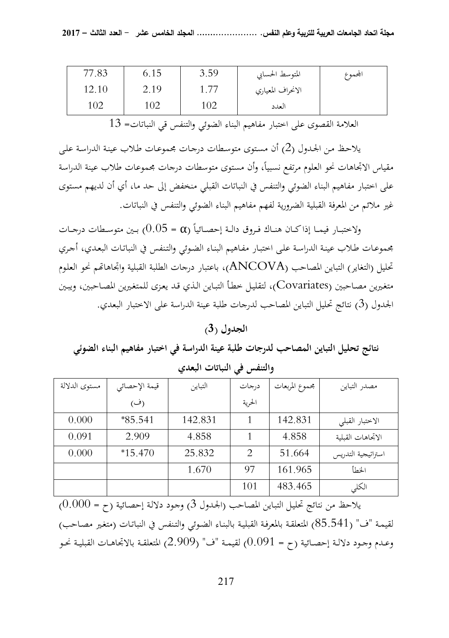| 77.83 | 6.15 | 3.59 | المتوسط الحسابي   | المحموع |
|-------|------|------|-------------------|---------|
| 12.10 | 2.19 |      | الانحراف المعياري |         |
| 102   | 102  | 102  | العدد             |         |

العلامة القصوى على اختبار مفاهيم البناء الضوئي والتنفس قي النباتات= 13

يلاحـظ مـن الجـدول (2) أن مسـتوى متوسـطات درجـات مجموعـات طـلاب عينـة الدراسـة علـى مقياس الاتجاهات نحو العلوم مرتفع نسبياً، وأن مستوى متوسطات درجات مجموعات طلاب عينة الدراسة على اختبار مفاهيم البناء الضوئي والتنفس في النباتات القبلي منخفض إلى حد ما، أي أن لديهم مستوى غير ملائم من المعرفة القبلية الضرورية لفهم مفاهيم البناء الضوئي والتنفس في النباتات.

ولاختبــار فيمــا إذاكــان هنــاك فـروق دالـة إحصــائياً (a = 0.05) بــين متوسـطات درجــات مجموعـات طـلاب عينـة الدراسـة علـى اختبـار مفـاهيم البنـاء الضـوئي والتـنفس في النباتـات البعـدي، أجـري تحليل (التغاير) التباين المصاحب (ANCOVA)، باعتبار درجات الطلبة القبلية واتجاهاتمم نحو العلوم متغـيرين مصـاحبين (Covariates(، لتقليـل خطـأ التبـاين الـذي قـد يعـزى للمتغـيرين المصـاحبين، و يبـين الجدول (3) نتائج تحليل التباين المصاحب لدرجات طلبة عينة الدراسة على الاختبار البعدي.

### **الجدول ( )3**

**نتائج تحليل التباين المصاحب لدرجات طلبة عينة الدراسة في اختبار مفاهيم البناء الضوئي والتنفس في النباتات البعدي** 

| مستوى الدلالة | قيمة الإحصائي | التباين | درجات                       | مجموع المربعات | مصدر التباين       |
|---------------|---------------|---------|-----------------------------|----------------|--------------------|
|               | (ف)           |         | الحرية                      |                |                    |
| 0.000         | $*85.541$     | 142.831 |                             | 142.831        | الاختبار القبلي    |
| 0.091         | 2.909         | 4.858   |                             | 4.858          | الاتحاهات القبلية  |
| 0.000         | $*15.470$     | 25.832  | $\mathcal{D}_{\mathcal{L}}$ | 51.664         | استراتيجية التدريس |
|               |               | 1.670   | 97                          | 161.965        | الخطأ              |
|               |               |         | 101                         | 483.465        | الكلي              |

يلاحظ من نتائج تحليـل التبـاين المصـاحب (الجـدول 3) وجـود دلالـة إحصـائية (ح = 0.000) لقيمـة "ف" (85.541) المتعلقـة بالمعرفـة القبليـة بالبنـاء الضـوئي والتـنفس في النباتـات (متغـير مصـاحب) وعــدم وجــود دلالــة إحصــائية (ح = 0.091) لقيمــة "ف" (2.909) المتعلقــة بالاتجاهــات القبليــة نحــو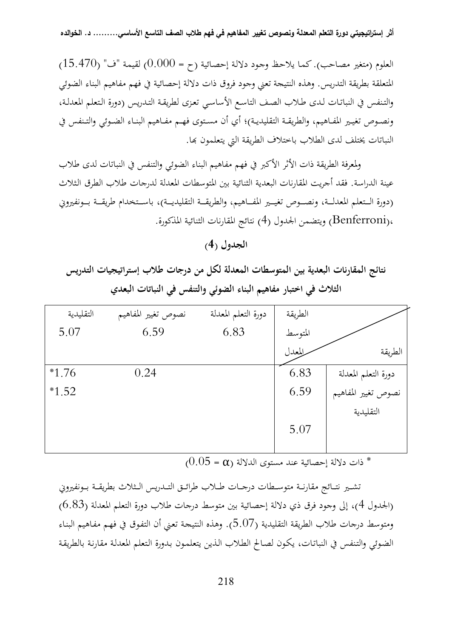العلوم (متغير مصـاحب). كمـا يلاحـظ وجـود دلالـة إحصـائية (ح = 0.000) لقيمـة "ف" (15.470) المتعلقة بطريقة التدريس. وهذه النتيجة تعني وجود فروق ذات دلالة إحصائية في فهم مفاهيم البناء الضوئي والتـنفس في النباتـات لـدى طـلاب الصـف التاسـع الأساسـي تعـزى لطريقـة التـدريس (دورة الـتعلم المعدلـة، ونصــوص تغيــير المفــاهيم، والطريقــة التقليديــة)؛ أي أن مســتوى فهــم مفــاهيم البنــاء الضــوئي والتــنفس في النباتات يختلف لدى الطلاب باختلاف الطريقة التي يتعلمون بما.

ولمعرفة الطريقة ذات الأثر الأكبر في فهم مفاهيم البناء الضوئي والتنفس في النباتات لدى طلاب عينة الدراسة. فقد أجريت المقارنات البعدية الثنائية بين المتوسطات المعدلة لدرجات طلاب الطرق الـثلاث (دورة الـتعلم المعدلــة، ونصــوص تغيــير المفــاهيم، والطريقــة التقليديــة)، باسـتخدام طريقــة بــونفيروني ،(Benferroni (ويتضمن الجدول (4) نتائج المقارنات الثنائية المذكورة.

نتائج المقارنات البعدية بين المتوسطات المعدلة لكل من درجات طلاب إستراتيجيات التدريس **الثلاث في اختبار مفاهيم البناء الضوئي والتنفس في النباتات البعدي** 

| التقليدية | نصوص تغيير المفاهيم | دورة التعلم المعدلة | الطريقة |                     |
|-----------|---------------------|---------------------|---------|---------------------|
| 5.07      | 6.59                | 6.83                | المتوسط |                     |
|           |                     |                     | المعدل  | الطريقة             |
| $*1.76$   | 0.24                |                     | 6.83    | دورة التعلم المعدلة |
| $*1.52$   |                     |                     | 6.59    | نصوص تغيير المفاهيم |
|           |                     |                     |         | التقليدية           |
|           |                     |                     | 5.07    |                     |
|           |                     |                     |         |                     |

 $(0.05 = \alpha)$  ذات دلالة إحصائية عند مستوى الدلالة  $^*$ 

تشـير نتــائج مقارنــة متوســطات درجــات طــلاب طرائــق التــدريس الــثلاث بطريقــة بــونفيروني (الجدول 4)، إلى وجود فرق ذي دلالة إحصائية بين متوسط درجات طلاب دور ة التعلم المعدلة (6.83) ومتوسط درجات طلاب الطريقة التقليدية (5.07). وهذه النتيجـة تعـني أن التفـوق في فهـم مفـاهيم البنـاء الضـوئي والتـنفس في النباتـات، يكـون لصـالح الطـلاب الـذين يتعلمـون بـدورة الـتعلم المعدلـة مقارنـة بالطريقـة

**الجدول ( )4**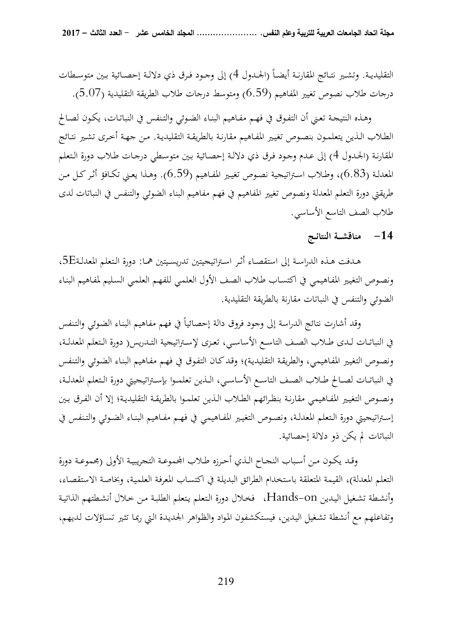التقليديـة. وتشـير نتـائج المقارنـة أيضـاً (الجــدول 4) إلى وجــود فـرق ذي دلالــة إحصــائية بـين متوسـطات درجات طلاب نصوص تغيير المفاهيم (6.59) ومتوسط درجات طلاب الطريقة التقليدية (5.07).

 وهـذه النتيجـة تعـني أن التفـوق في فهـم مفـاهيم البنـاء الضـوئي والتـنفس في النباتـات، يكـون لصـالح الطـلاب الـذين يتعلمـون بنصـوص تغيـير المفـاهيم مقارنـة بالطريقـة التقليديـة. مـن جهـة أخـرى تشـير نتـائج المقارنـة (الجـدول 4) إلى عـدم وجـود فـرق ذي دلالـة إحصـائية بـين متوسـطي درجـات طـلاب دورة الـتعلم المعدلـة (6.83)، وطـلاب اسـتراتيجية نصـوص تغيـير المفـاهيم (6.59). وهـذا يعـني تكـافؤ أثـر كـل مـن طريقتي دورة التعلم المعدلة ونصوص تغيير المفاهيم في فهم مفاهيم البناء الضوئي والتنفس في النباتات لدى طلاب الصف التاسع الأساسي.

## **-14 مناقشــة النتائـج**

 هــدفت هــذه الدراســة إلى استقصــاء أثــر اسـتراتيجيتين تدريســيتين همــا: دورة الــتعلم المعدلــةE،5 ونصـوص التغيـير المفـاهيمي في اكتسـاب طـلاب الصـف الأول العلمـي للفهـم العلمـي السـليم لمفـاهيم البنـاء الضوئي والتنفس في النباتات مقارنة بالطريقة التقليدية.

وقد أشارت نتائج الدراسة إلى وجود فروق دالة إحصائياً في فهم مفاهيم البناء الضوئي والتنفس في النباتــات لــدى طــلاب الصــف التاســع الأساســي، تعــزى لإســتراتيجية التــدريس( دورة الــتعلم المعدلــة، ونصـوص التغيـير المفـاهيمي، والطريقـة التقليديـة)؛ وقـد كـان التفـوق في فهـم مفـاهيم البنـاء الضـوئي والتـنفس في النباتــات لصــالح طــلاب الصــف التاســع الأساســي، الــذين تعلمــوا بإســتراتيجيتي دورة الــتعلم المعدلــة، ونصـوص التغيـير المفـاهيمي مقارنـة بنظـرائهم الطـلاب الـذين تعلمـوا بالطريقـة التقليديـة؛ إلا أن الفـرق بـين إســتراتيجيتي دورة الــتعلم المعدلــة، ونصــوص التغيــير المفــاهيمي في فهــم مفــاهيم البنــاء الضــوئي والتــنفس في النباتات لم يكن ذو دلالة إحصائية.

وقـد يكـون مـن أسـباب النجـاح الـذي أحـرزه طـلاب الجموعـة التجريبيـة الأولى (مجموعـة دورة التعلم المعدلة)، القيمة المتعلقة باستخدام الطرائق البديلـة في اكتسـاب المعرفـة العلميـة، وبخاصـة الاستقصـاء، وأنشـطة تشـغيل اليـدين on-Hands ، فخـلال دورة الـتعلم يـتعلم الطلبـة مـن خـلال أنشـطتهم الذاتيـة وتفاعلهم مع أنشطة تشـغيل اليـدين، فيستكشـفون المـواد والظـواهر الجديـدة الـتي ربمـا تثـير تسـاؤلات لـديهم،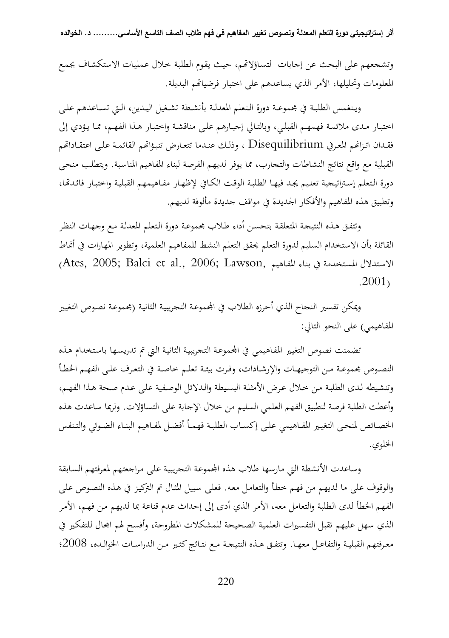وتشجعهم على البحث عن إجابات لتسـاؤلام، حيـث يقـوم الطلبـة خـلال عمليـات الاستكشـاف بجمـع المعلومات وتحليلها، الأمر الذي يساعدهم على اختبار فرضياتهم البديلة.

 ويــنغمس الطلبــة في مجموعــة دورة الــتعلم المعدلــة بأنشــطة تشــغيل اليــدين، الــتي تســاعدهم علــى اختبـار مـدى ملائمـة فهمهـم القبلـي، وبالتـالي إجبـارهم علـى مناقشـة واختبـار هـذا الفهـم، ممـا يـؤدي إلى فقـدان اتـزانم المعرفي Disequilibrium ، وذلـك عنـدما تتعـارض تنبـؤاتمم القائمـة علـى اعتقـاداتمم القبلية مع واقع نتائج النشاطات والتجارب، مما يوفر لديهم الفرصة لبناء المفاهيم المناسـبة. ويتطلـب منحـى دورة التعلم إسـتراتيجية تعليم يجد فيهـا الطلبـة الوقت الكـافي لإظهـار مفـاهيمهم القبليـة واختبـار فائدتّا، وتطبيق هذه المفاهيم والأفكار الجديدة في مواقف جديدة مألوفة لديهم.

وتتفـق هـذه النتيجـة المتعلقـة بتحسـن أداء طـلاب مجموعـة دورة الـتعلم المعدلـة مـع وجهـات النظـر القائلة بأن الاستخدام السليم لدورة التعلم يحقق التعلم النشط للمفاهيم العلمية، وتطوير المهارات في أنماط الاستدلال المستخدمة في بناء المفاهيم ,Ates, 2005; Balci et al., 2006; Lawson) .2001)

ويمكن تفسير النجاح الذي أحرزه الطلاب في المجموعة التجريبية الثانية (مجموعة نصوص التغيير المفاهيمي) على النحو التالي:

تضمنت نصوص التغيير المفاهيمي في المحموعة التجريبية الثانية التي تم تدريسها باستخدام هذه النصــوص مجموعــة مــن التوجيهــات والإرشــادات، وفــرت بيئــة تعلــم خاصــة في التعــرف علــى الفهــم الخطــأ وتنشـيطه لـدى الطلبـة مـن خـلال عـرض الأمثلـة البسـيطة والـدلائل الوصـفية علـى عـدم صـحة هـذا الفهـم، وأعطت الطلبة فرصة لتطبيق الفهم العلمي السليم من خلال الإجابة على التساؤلات. ولربما ساعدت هذه الخصـائص لمنحى التغيير المفـاهيمي علـى إكسـاب الطلبـة فهمـاً أفضـل لمفـاهيم البنـاء الضـوئي والتـنفس الخلوي.

وساعدت الأنشطة التي مارسها طلاب هذه المحموعة التحريبية على مراجعتهم لمعرفتهم السابقة والوقوف على ما لديهم من فهـم خطـأ والتعامـل معـه. فعلـى سـبيل المثـال تم التركيـز في هـذه النصـوص علـى الفهم الخطأ لدى الطلبة والتعامل معه، الأمر الذي أدى إلى إحداث عدم قناعة بما لديهم مـن فهـم، الأمـر الذي سهل عليهم تقبل التفسيرات العلمية الصحيحة للمشكلات المطروحة، وأفسح لهم المحال للتفكير في معــرفتهم القبليــة والتفاعــل معهــا. وتتفــق هــذه النتيجــة مــع نتــائج كثــير مــن الدراســات الخوالــده، 2008؛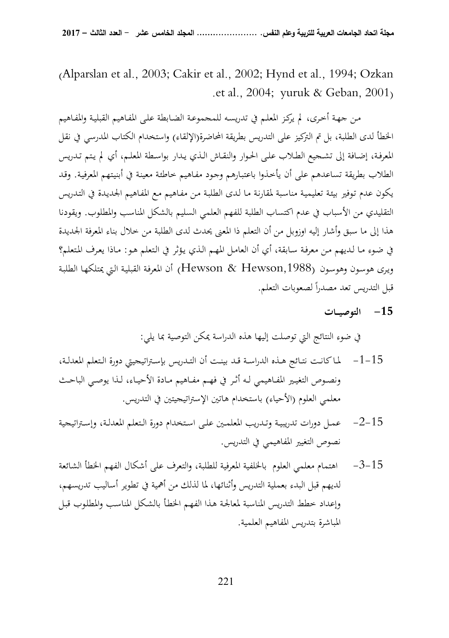(Alparslan et al., 2003; Cakir et al., 2002; Hynd et al., 1994; Ozkan . et al., 2004; yuruk & Geban, 2001)

 مـن جهـة أخـرى، لم يركـز المعلـم في تدريسـه للمجموعـة الضـابطة علـى المفـاهيم القبليـة والمفـاهيم الخطأ لدى الطلبة، بل تم التركيز على التدريس بطريقة المحاضرة(الإلقاء) واستخدام الكتاب المدرسي في نقل المعرفـة، إضـافة إلى تشـجيع الطـلاب علـى الحـوار والنقـاش الـذي يـدار بواسـطة المعلـم، أي لم يـتم تـدريس الطلاب بطريقة تساعدهم على أن يأخـذوا باعتبـارهم وجـود مفـاهيم خاطئـة معينـة في أبنيـتهم المعرفيـة. وقـد يكون عدم تـوفير بيئـة تعليميـة مناسـبة لمقارنـة مـا لـدى الطلبـة مـن مفـاهيم مـع المفـاهيم الجديـدة في التـدريس التقليدي من الأسباب في عدم اكتساب الطلبة للفهم العلمي السليم بالشكل المناسب والمطلوب. ويقودنا هذا إلى ما سبق وأشار إليه اوزوبل من أن التعلم ذا المعنى يحدث لدى الطلبة من خلال بناء المعرفة الجديدة في ضـوء مـا لـديهم مـن معرفـة سـابقة، أي أن العامـل المهـم الـذي يـؤثر في الـتعلم هـو: مـاذا يعـرف المـتعلم؟ ويـرى هوسـون وهوسـون (,1988Hewson & Hewson (أن المعرفـة القبليـة الـتي يمتلكهـا الطلبـة قبل التدريس تعد مصدراً لصعوبات التعلم.

# **-15 التوصيــات**

في ضوء النتائج التي توصلت إليها هذه الدراسة يمكن التوصية بما يلي:

- 15 -1- لمــا كانــت نتــائج هــذه الدراســة قــد بينــت أن التــدريس بإســتراتيجيتي دورة الــتعلم المعدلــة، ونصـوص التغيـير المفـاهيمي لـه أثـر في فهـم مفـاهيم مـادة الأحيـاء، لـذا يوصـي الباحـث معلمي العلوم (الأحياء) باستخدام هاتين الإستراتيجيتين في التدريس.
- 15 -2- عمــل دورات تدريبيــة و تــدريب المعلمــين علــى اســتخدام دورة الــتعلم المعدلــة، وإســتراتيجية نصوص التغيير المفاهيمي في التدريس.
- 15 -3- اهتمام معلمي العلوم بالخلفية المعرفية للطلبة، والتعرف على أشكال الفهم الخطأ الشائعة لديهم قبل البدء بعملية التدريس وأثنائها، لما لذلك من أهمية في تطوير أساليب تدريسهم، وإعداد خطط التدريس المناسبة لمعالجـة هـذا الفهـم الخطـأ بالشـكل المناسـب والمطلـوب قبـل المباشرة بتدريس المفاهيم العلمية.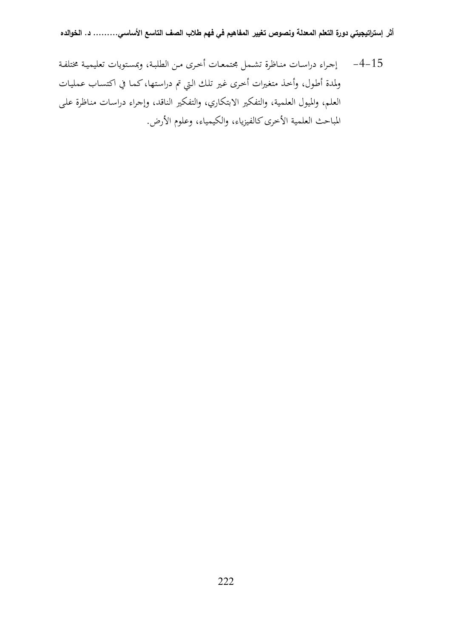15 -4- إجـراء دراسـات منـاظرة تشـمل مجتمعـات أخـرى مـن الطلبـة، وبمسـتويات تعليميـة مختلفـة ولمدة أطـول، وأخـذ متغـيرات أخـرى غـير تلـك الـتي تم دراسـتها، كمـا في اكتسـاب عمليـات العلم، والميول العلمية، والتفكير الابتكاري، والتفكير الناقد، وإجراء دراسـات منـاظرة علـى المباحث العلمية الأخرى كالفيزياء، والكيمياء، وعلوم الأرض.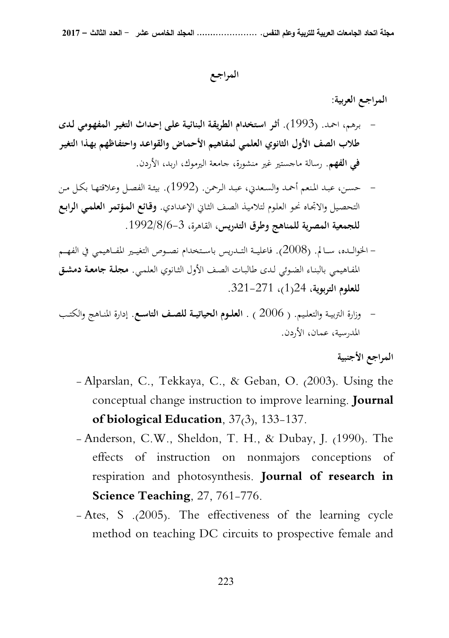**المراجـع** 

**المراجـع العربية:** 

- بـرهم، احمـد. (1993). **أثـر اسـتخدام الطريقـة البنائيـة علـى إحـداث التغيـر المفهـومي لـدى طلاب الصف الأول الثانوي العلمـي لمفـاهيم الأحمـاض والقواعـد واحتفـاظهم بهـذا التغيـر في الفهم**. رسالة ماجستير غير منشورة، جامعة اليرموك، اربد، الأردن.
- حسـن، عبـد المـنعم أحمـد والسـعدني، عبـد الـرحمن. (1992). بيئـة الفصـل وعلاقتهـا بكـل مـن التحصـيل والاتجـاه نحـو العلـوم لتلاميـذ الصـف الثـاني الإعـدادي. **وقـائع المـؤتمر العلمـي الرابـع للجمعية المصرية للمناهج وطرق التدريس**، القاهرة، 3-6/8/ 1992 .
- الخوالـــده، ســـالم. (2008). فاعليـــة التـــدريس باســـتخدام نصـــوص التغيـــير المفـــاهيمي في الفهـــم المفـاهيمي بالبنـاء الضـوئي لـدى طالبـات الصـف الأول الثـانوي العلمـي. **مجلـة جامعـة دمشـق للعلوم التربوية**، 24 1( )، 321-271 .
- وزارة التربيــة والتعلــيم. ( 2006 ) . **العلــوم الحياتيــة للصــف التاســع**. إدارة المنــاهج والكتــب المدرسية، عمان، الأردن.

**المراجع الأجنبية** 

- Alparslan, C., Tekkaya, C., & Geban, O. (2003). Using the conceptual change instruction to improve learning. **Journal of biological Education**, 37(3), 133-137.
- Anderson, C.W., Sheldon, T. H., & Dubay, J. (1990). The effects of instruction on nonmajors conceptions of respiration and photosynthesis. **Journal of research in Science Teaching**, 27, 761-776.
- Ates, S .(2005). The effectiveness of the learning cycle method on teaching DC circuits to prospective female and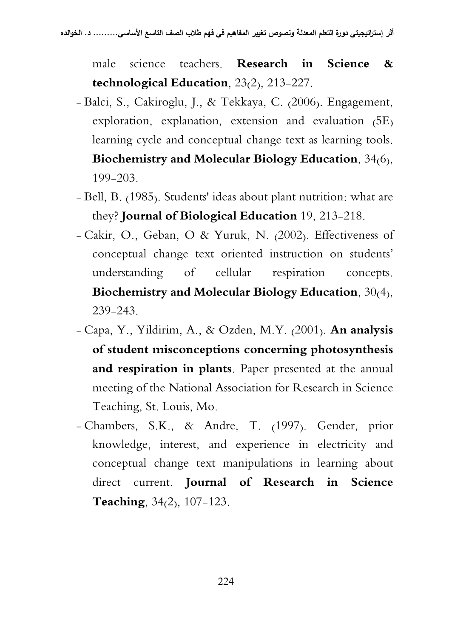male science teachers. **Research in Science & technological Education**, 23(2), 213-227.

- Balci, S., Cakiroglu, J., & Tekkaya, C. (2006). Engagement, exploration, explanation, extension and evaluation (5E) learning cycle and conceptual change text as learning tools. **Biochemistry and Molecular Biology Education**, 34(6), 199-203.
- Bell, B. (1985). Students' ideas about plant nutrition: what are they? **Journal of Biological Education** 19, 213-218.
- Cakir, O., Geban, O & Yuruk, N. (2002). Effectiveness of conceptual change text oriented instruction on students' understanding of cellular respiration concepts. **Biochemistry and Molecular Biology Education,** 30(4), 239-243.
- Capa, Y., Yildirim, A., & Ozden, M.Y. (2001). **An analysis of student misconceptions concerning photosynthesis and respiration in plants**. Paper presented at the annual meeting of the National Association for Research in Science Teaching, St. Louis, Mo.
- Chambers, S.K., & Andre, T. (1997). Gender, prior knowledge, interest, and experience in electricity and conceptual change text manipulations in learning about direct current. **Journal of Research in Science Teaching**, 34(2), 107-123.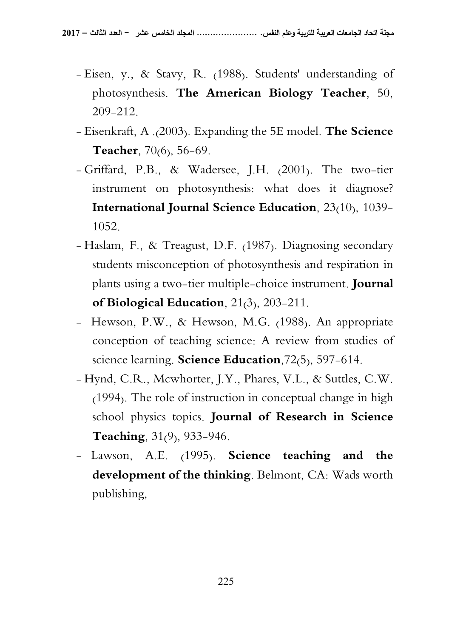- Eisen, y., & Stavy, R. (1988). Students' understanding of photosynthesis. **The American Biology Teacher**, 50, 209-212.
- Eisenkraft, A .(2003). Expanding the 5E model. **The Science**  Teacher, 70<sub>(6)</sub>, 56-69.
- Griffard, P.B., & Wadersee, J.H. (2001). The two-tier instrument on photosynthesis: what does it diagnose? **International Journal Science Education**, 23(10), 1039- 1052.
- Haslam, F., & Treagust, D.F. (1987). Diagnosing secondary students misconception of photosynthesis and respiration in plants using a two-tier multiple-choice instrument. **Journal of Biological Education**, 21(3), 203-211.
- Hewson, P.W., & Hewson, M.G. (1988). An appropriate conception of teaching science: A review from studies of science learning. **Science Education**,72(5), 597-614.
- Hynd, C.R., Mcwhorter, J.Y., Phares, V.L., & Suttles, C.W. (1994). The role of instruction in conceptual change in high school physics topics. **Journal of Research in Science Teaching**, 31(9), 933-946.
- Lawson, A.E. (1995). **Science teaching and the development of the thinking**. Belmont, CA: Wads worth publishing,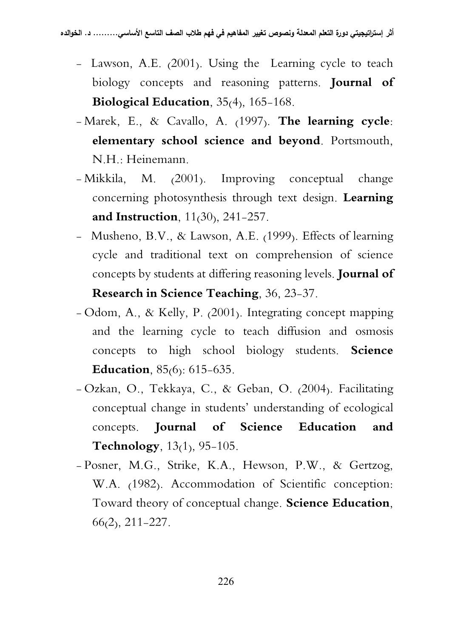- Lawson, A.E. (2001). Using the Learning cycle to teach biology concepts and reasoning patterns. **Journal of Biological Education**, 35(4), 165-168.
- Marek, E., & Cavallo, A. (1997). **The learning cycle: elementary school science and beyond**. Portsmouth, N.H.: Heinemann.
- Mikkila, M. (2001). Improving conceptual change concerning photosynthesis through text design. **Learning and Instruction**, 11(30), 241-257.
- Musheno, B.V., & Lawson, A.E. (1999). Effects of learning cycle and traditional text on comprehension of science concepts by students at differing reasoning levels. **Journal of Research in Science Teaching,** 36, 23-37.
- Odom, A., & Kelly, P. (2001). Integrating concept mapping and the learning cycle to teach diffusion and osmosis concepts to high school biology students**. Science Education,** 85(6): 615-635.
- Ozkan, O., Tekkaya, C., & Geban, O. (2004). Facilitating conceptual change in students' understanding of ecological concepts. **Journal of Science Education and Technology**, 13(1), 95-105.
- Posner, M.G., Strike, K.A., Hewson, P.W., & Gertzog, W.A. (1982). Accommodation of Scientific conception: Toward theory of conceptual change. **Science Education**, 66(2), 211-227.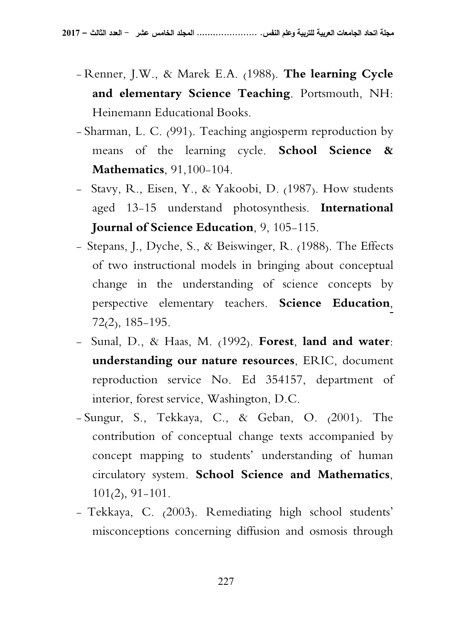- Renner, J.W., & Marek E.A. (1988). **The learning Cycle and elementary Science Teaching**. Portsmouth, NH: Heinemann Educational Books.
- Sharman, L. C. (991). Teaching angiosperm reproduction by means of the learning cycle. **School Science & Mathematics**, 91,100-104.
- Stavy, R., Eisen, Y., & Yakoobi, D. (1987). How students aged 13-15 understand photosynthesis. **International Journal of Science Education**, 9, 105-115.
- Stepans, J., Dyche, S., & Beiswinger, R. (1988). The Effects of two instructional models in bringing about conceptual change in the understanding of science concepts by perspective elementary teachers**. Science Education**, 72(2), 185-195.
- Sunal, D., & Haas, M. (1992). **Forest, land and water: understanding our nature resources**, ERIC, document reproduction service No. Ed 354157, department of interior, forest service, Washington, D.C.
- Sungur, S., Tekkaya, C., & Geban, O. (2001). The contribution of conceptual change texts accompanied by concept mapping to students' understanding of human circulatory system. **School Science and Mathematics**, 101(2), 91-101.
- Tekkaya, C. (2003). Remediating high school students' misconceptions concerning diffusion and osmosis through